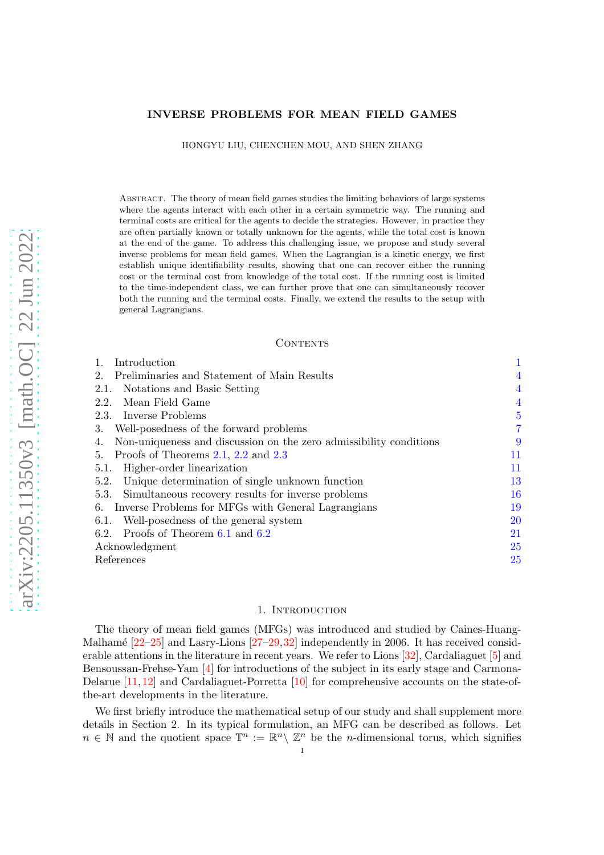## INVERSE PROBLEMS FOR MEAN FIELD GAMES

HONGYU LIU, CHENCHEN MOU, AND SHEN ZHANG

Abstract. The theory of mean field games studies the limiting behaviors of large systems where the agents interact with each other in a certain symmetric way. The running and terminal costs are critical for the agents to decide the strategies. However, in practice they are often partially known or totally unknown for the agents, while the total cost is known at the end of the game. To address this challenging issue, we propose and study several inverse problems for mean field games. When the Lagrangian is a kinetic energy, we first establish unique identifiability results, showing that one can recover either the running cost or the terminal cost from knowledge of the total cost. If the running cost is limited to the time-independent class, we can further prove that one can simultaneously recover both the running and the terminal costs. Finally, we extend the results to the setup with general Lagrangians.

### CONTENTS

| Introduction                                                             |                |
|--------------------------------------------------------------------------|----------------|
| Preliminaries and Statement of Main Results<br>2.                        | 4              |
| Notations and Basic Setting<br>2.1.                                      | 4              |
| Mean Field Game<br>2.2.                                                  | $\overline{4}$ |
| 2.3. Inverse Problems                                                    | 5              |
| Well-posedness of the forward problems<br>З.                             | $\overline{7}$ |
| Non-uniqueness and discussion on the zero admissibility conditions<br>4. | 9              |
| Proofs of Theorems $2.1$ , $2.2$ and $2.3$<br>5.                         | 11             |
| Higher-order linearization<br>5.1.                                       | 11             |
| Unique determination of single unknown function<br>5.2.                  | 13             |
| Simultaneous recovery results for inverse problems<br>5.3.               | 16             |
| Inverse Problems for MFGs with General Lagrangians<br>6.                 | 19             |
| Well-posedness of the general system<br>6.1.                             | 20             |
| 6.2. Proofs of Theorem $6.1$ and $6.2$                                   | 21             |
| Acknowledgment                                                           | 25             |
| References                                                               | <b>25</b>      |

### 1. INTRODUCTION

<span id="page-0-0"></span>The theory of mean field games (MFGs) was introduced and studied by Caines-Huang-Malhamé  $[22-25]$  $[22-25]$  and Lasry-Lions  $[27-29,32]$  $[27-29,32]$  independently in 2006. It has received considerable attentions in the literature in recent years. We refer to Lions [\[32\]](#page-25-4), Cardaliaguet [\[5\]](#page-24-2) and Bensoussan-Frehse-Yam [\[4\]](#page-24-3) for introductions of the subject in its early stage and Carmona-Delarue [\[11,](#page-24-4)[12\]](#page-24-5) and Cardaliaguet-Porretta [\[10\]](#page-24-6) for comprehensive accounts on the state-ofthe-art developments in the literature.

We first briefly introduce the mathematical setup of our study and shall supplement more details in Section 2. In its typical formulation, an MFG can be described as follows. Let  $n \in \mathbb{N}$  and the quotient space  $\mathbb{T}^n := \mathbb{R}^n \setminus \mathbb{Z}^n$  be the *n*-dimensional torus, which signifies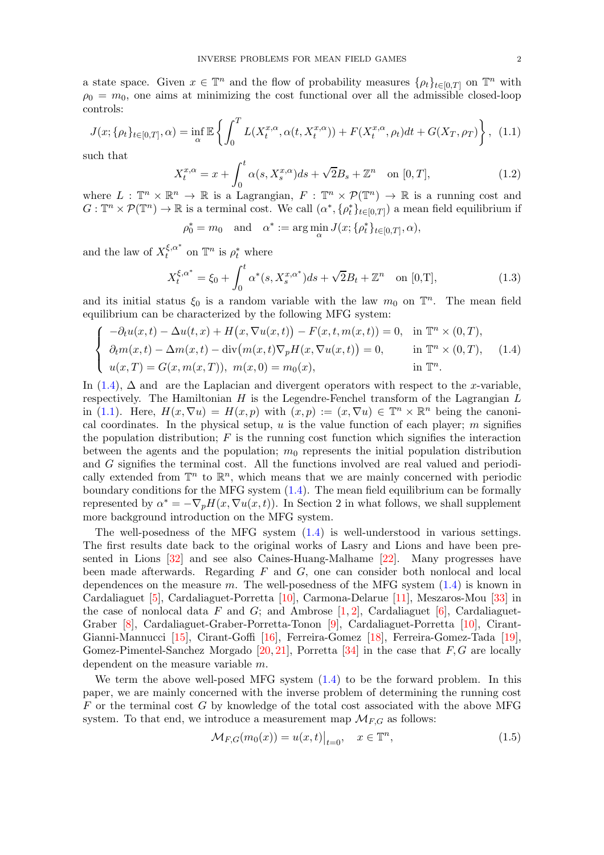a state space. Given  $x \in \mathbb{T}^n$  and the flow of probability measures  $\{\rho_t\}_{t\in[0,T]}$  on  $\mathbb{T}^n$  with  $\rho_0 = m_0$ , one aims at minimizing the cost functional over all the admissible closed-loop controls:

<span id="page-1-1"></span>
$$
J(x; \{\rho_t\}_{t\in[0,T]}, \alpha) = \inf_{\alpha} \mathbb{E} \left\{ \int_0^T L(X_t^{x,\alpha}, \alpha(t, X_t^{x,\alpha})) + F(X_t^{x,\alpha}, \rho_t)dt + G(X_T, \rho_T) \right\}, \tag{1.1}
$$

such that

$$
X_t^{x,\alpha} = x + \int_0^t \alpha(s, X_s^{x,\alpha})ds + \sqrt{2}B_s + \mathbb{Z}^n \quad \text{on } [0,T],
$$
\n(1.2)

where  $L : \mathbb{T}^n \times \mathbb{R}^n \to \mathbb{R}$  is a Lagrangian,  $F : \mathbb{T}^n \times \mathcal{P}(\mathbb{T}^n) \to \mathbb{R}$  is a running cost and  $G: \mathbb{T}^n \times \mathcal{P}(\mathbb{T}^n) \to \mathbb{R}$  is a terminal cost. We call  $(\alpha^*, {\{\rho_t^*}\}_t \in [0,T])$  a mean field equilibrium if

$$
\rho_0^* = m_0 \quad \text{and} \quad \alpha^* := \arg\min_{\alpha} J(x; \{\rho_t^*\}_{t \in [0,T]}, \alpha),
$$

and the law of  $X_t^{\xi,\alpha^*}$  $t^{\xi,\alpha^*}$  on  $\mathbb{T}^n$  is  $\rho_t^*$  where

$$
X_t^{\xi, \alpha^*} = \xi_0 + \int_0^t \alpha^*(s, X_s^{x, \alpha^*}) ds + \sqrt{2} B_t + \mathbb{Z}^n \quad \text{on } [0, T], \tag{1.3}
$$

and its initial status  $\xi_0$  is a random variable with the law  $m_0$  on  $\mathbb{T}^n$ . The mean field equilibrium can be characterized by the following MFG system:

<span id="page-1-0"></span>
$$
\begin{cases}\n-\partial_t u(x,t) - \Delta u(t,x) + H(x, \nabla u(x,t)) - F(x,t,m(x,t)) = 0, & \text{in } \mathbb{T}^n \times (0,T), \\
\partial_t m(x,t) - \Delta m(x,t) - \text{div}(m(x,t)\nabla_p H(x, \nabla u(x,t)) = 0, & \text{in } \mathbb{T}^n \times (0,T), \\
u(x,T) = G(x,m(x,T)), \ m(x,0) = m_0(x), & \text{in } \mathbb{T}^n.\n\end{cases}
$$
\n(1.4)

In  $(1.4)$ ,  $\Delta$  and are the Laplacian and divergent operators with respect to the x-variable, respectively. The Hamiltonian  $H$  is the Legendre-Fenchel transform of the Lagrangian  $L$ in [\(1.1\)](#page-1-1). Here,  $H(x, \nabla u) = H(x, p)$  with  $(x, p) := (x, \nabla u) \in \mathbb{T}^n \times \mathbb{R}^n$  being the canonical coordinates. In the physical setup,  $u$  is the value function of each player; m signifies the population distribution;  $F$  is the running cost function which signifies the interaction between the agents and the population;  $m_0$  represents the initial population distribution and G signifies the terminal cost. All the functions involved are real valued and periodically extended from  $\mathbb{T}^n$  to  $\mathbb{R}^n$ , which means that we are mainly concerned with periodic boundary conditions for the MFG system [\(1.4\)](#page-1-0). The mean field equilibrium can be formally represented by  $\alpha^* = -\nabla_p H(x, \nabla u(x, t))$ . In Section 2 in what follows, we shall supplement more background introduction on the MFG system.

The well-posedness of the MFG system [\(1.4\)](#page-1-0) is well-understood in various settings. The first results date back to the original works of Lasry and Lions and have been presented in Lions [\[32\]](#page-25-4) and see also Caines-Huang-Malhame [\[22\]](#page-25-0). Many progresses have been made afterwards. Regarding  $F$  and  $G$ , one can consider both nonlocal and local dependences on the measure m. The well-posedness of the MFG system  $(1.4)$  is known in Cardaliaguet [\[5\]](#page-24-2), Cardaliaguet-Porretta [\[10\]](#page-24-6), Carmona-Delarue [\[11\]](#page-24-4), Meszaros-Mou [\[33\]](#page-25-5) in the case of nonlocal data F and G; and Ambrose  $[1, 2]$  $[1, 2]$ , Cardaliaguet [\[6\]](#page-24-9), Cardaliaguet-Graber [\[8\]](#page-24-10), Cardaliaguet-Graber-Porretta-Tonon [\[9\]](#page-24-11), Cardaliaguet-Porretta [\[10\]](#page-24-6), Cirant-Gianni-Mannucci [\[15\]](#page-25-6), Cirant-Goffi [\[16\]](#page-25-7), Ferreira-Gomez [\[18\]](#page-25-8), Ferreira-Gomez-Tada [\[19\]](#page-25-9), Gomez-Pimentel-Sanchez Morgado  $[20, 21]$  $[20, 21]$ , Porretta  $[34]$  in the case that  $F, G$  are locally dependent on the measure variable m.

We term the above well-posed MFG system [\(1.4\)](#page-1-0) to be the forward problem. In this paper, we are mainly concerned with the inverse problem of determining the running cost  $F$  or the terminal cost  $G$  by knowledge of the total cost associated with the above MFG system. To that end, we introduce a measurement map  $\mathcal{M}_{FG}$  as follows:

$$
\mathcal{M}_{F,G}(m_0(x)) = u(x,t)|_{t=0}, \quad x \in \mathbb{T}^n,
$$
\n(1.5)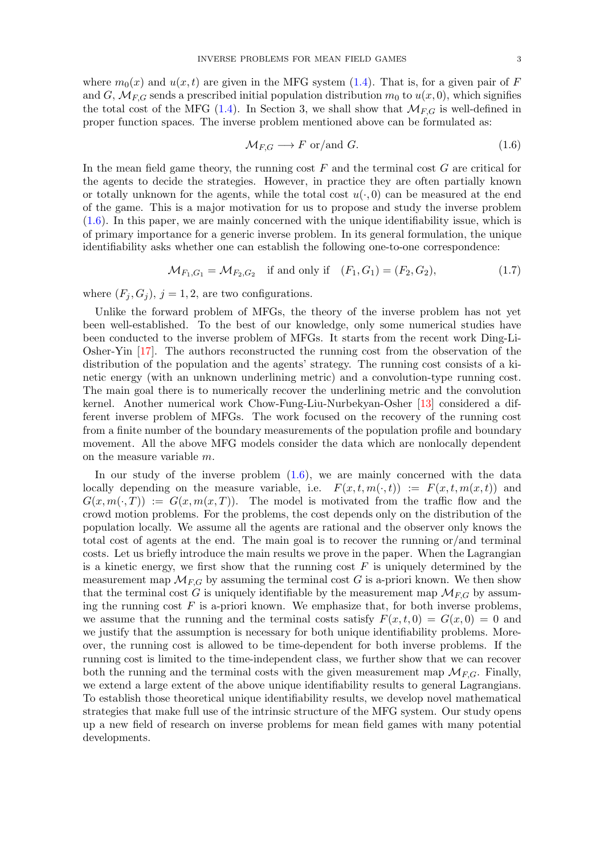where  $m_0(x)$  and  $u(x, t)$  are given in the MFG system [\(1.4\)](#page-1-0). That is, for a given pair of F and G,  $\mathcal{M}_{F,G}$  sends a prescribed initial population distribution  $m_0$  to  $u(x, 0)$ , which signifies the total cost of the MFG [\(1.4\)](#page-1-0). In Section 3, we shall show that  $\mathcal{M}_{FG}$  is well-defined in proper function spaces. The inverse problem mentioned above can be formulated as:

<span id="page-2-0"></span>
$$
\mathcal{M}_{F,G} \longrightarrow F \text{ or/and } G. \tag{1.6}
$$

In the mean field game theory, the running cost  $F$  and the terminal cost  $G$  are critical for the agents to decide the strategies. However, in practice they are often partially known or totally unknown for the agents, while the total cost  $u(\cdot, 0)$  can be measured at the end of the game. This is a major motivation for us to propose and study the inverse problem [\(1.6\)](#page-2-0). In this paper, we are mainly concerned with the unique identifiability issue, which is of primary importance for a generic inverse problem. In its general formulation, the unique identifiability asks whether one can establish the following one-to-one correspondence:

<span id="page-2-1"></span>
$$
\mathcal{M}_{F_1, G_1} = \mathcal{M}_{F_2, G_2} \quad \text{if and only if} \quad (F_1, G_1) = (F_2, G_2), \tag{1.7}
$$

where  $(F_i, G_j)$ ,  $j = 1, 2$ , are two configurations.

Unlike the forward problem of MFGs, the theory of the inverse problem has not yet been well-established. To the best of our knowledge, only some numerical studies have been conducted to the inverse problem of MFGs. It starts from the recent work Ding-Li-Osher-Yin [\[17\]](#page-25-13). The authors reconstructed the running cost from the observation of the distribution of the population and the agents' strategy. The running cost consists of a kinetic energy (with an unknown underlining metric) and a convolution-type running cost. The main goal there is to numerically recover the underlining metric and the convolution kernel. Another numerical work Chow-Fung-Liu-Nurbekyan-Osher [\[13\]](#page-25-14) considered a different inverse problem of MFGs. The work focused on the recovery of the running cost from a finite number of the boundary measurements of the population profile and boundary movement. All the above MFG models consider the data which are nonlocally dependent on the measure variable m.

In our study of the inverse problem  $(1.6)$ , we are mainly concerned with the data locally depending on the measure variable, i.e.  $F(x, t, m(\cdot, t)) := F(x, t, m(x, t))$  and  $G(x, m(\cdot, T)) := G(x, m(x, T))$ . The model is motivated from the traffic flow and the crowd motion problems. For the problems, the cost depends only on the distribution of the population locally. We assume all the agents are rational and the observer only knows the total cost of agents at the end. The main goal is to recover the running or/and terminal costs. Let us briefly introduce the main results we prove in the paper. When the Lagrangian is a kinetic energy, we first show that the running cost  $F$  is uniquely determined by the measurement map  $\mathcal{M}_{F,G}$  by assuming the terminal cost G is a-priori known. We then show that the terminal cost G is uniquely identifiable by the measurement map  $\mathcal{M}_{F,G}$  by assuming the running cost  $F$  is a-priori known. We emphasize that, for both inverse problems, we assume that the running and the terminal costs satisfy  $F(x, t, 0) = G(x, 0) = 0$  and we justify that the assumption is necessary for both unique identifiability problems. Moreover, the running cost is allowed to be time-dependent for both inverse problems. If the running cost is limited to the time-independent class, we further show that we can recover both the running and the terminal costs with the given measurement map  $\mathcal{M}_{FG}$ . Finally, we extend a large extent of the above unique identifiability results to general Lagrangians. To establish those theoretical unique identifiability results, we develop novel mathematical strategies that make full use of the intrinsic structure of the MFG system. Our study opens up a new field of research on inverse problems for mean field games with many potential developments.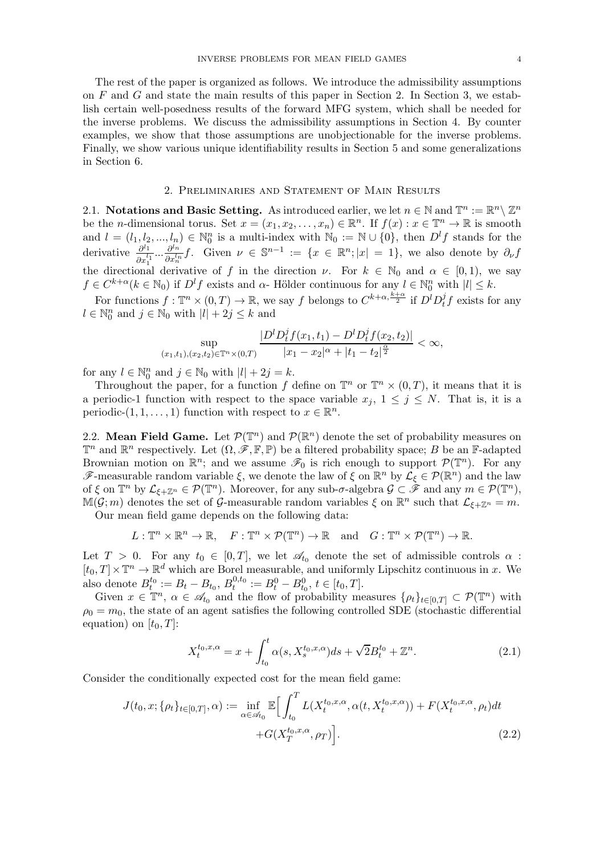The rest of the paper is organized as follows. We introduce the admissibility assumptions on  $F$  and  $G$  and state the main results of this paper in Section 2. In Section 3, we establish certain well-posedness results of the forward MFG system, which shall be needed for the inverse problems. We discuss the admissibility assumptions in Section 4. By counter examples, we show that those assumptions are unobjectionable for the inverse problems. Finally, we show various unique identifiability results in Section 5 and some generalizations in Section 6.

### 2. Preliminaries and Statement of Main Results

<span id="page-3-1"></span><span id="page-3-0"></span>2.1. Notations and Basic Setting. As introduced earlier, we let  $n \in \mathbb{N}$  and  $\mathbb{T}^n := \mathbb{R}^n \setminus \mathbb{Z}^n$ be the *n*-dimensional torus. Set  $x = (x_1, x_2, \ldots, x_n) \in \mathbb{R}^n$ . If  $f(x) : x \in \mathbb{T}^n \to \mathbb{R}$  is smooth and  $l = (l_1, l_2, ..., l_n) \in \mathbb{N}_0^n$  is a multi-index with  $\mathbb{N}_0 := \mathbb{N} \cup \{0\}$ , then  $D^l f$  stands for the derivative  $\frac{\partial^{l_1}}{\partial l_1}$  $\frac{\partial^{l_1}}{\partial x_1^{l_1}} \dots \frac{\partial^{l_n}}{\partial x_n^{l_n}}$  $\frac{\partial^{l_n}}{\partial x_n^{l_n}}f$ . Given  $\nu \in \mathbb{S}^{n-1} := \{x \in \mathbb{R}^n; |x| = 1\}$ , we also denote by  $\partial_{\nu}f$ the directional derivative of f in the direction  $\nu$ . For  $k \in \mathbb{N}_0$  and  $\alpha \in [0,1)$ , we say  $f \in C^{k+\alpha}(k \in \mathbb{N}_0)$  if  $D^l f$  exists and  $\alpha$ - Hölder continuous for any  $l \in \mathbb{N}_0^n$  with  $|l| \leq k$ .

For functions  $f: \mathbb{T}^n \times (0,T) \to \mathbb{R}$ , we say f belongs to  $C^{k+\alpha, \frac{k+\alpha}{2}}$  if  $D^l D_t^j$  $t \, f$  exists for any  $l \in \mathbb{N}_0^n$  and  $j \in \mathbb{N}_0$  with  $|l| + 2j \leq k$  and

$$
\sup_{(x_1,t_1),(x_2,t_2)\in\mathbb{T}^n\times(0,T)}\frac{|D^l D_t^j f(x_1,t_1)-D^l D_t^j f(x_2,t_2)|}{|x_1-x_2|^\alpha+|t_1-t_2|^{\frac{\alpha}{2}}}<\infty,
$$

for any  $l \in \mathbb{N}_0^n$  and  $j \in \mathbb{N}_0$  with  $|l| + 2j = k$ .

Throughout the paper, for a function f define on  $\mathbb{T}^n$  or  $\mathbb{T}^n \times (0,T)$ , it means that it is a periodic-1 function with respect to the space variable  $x_j$ ,  $1 \leq j \leq N$ . That is, it is a periodic- $(1, 1, \ldots, 1)$  function with respect to  $x \in \mathbb{R}^n$ .

<span id="page-3-2"></span>2.2. Mean Field Game. Let  $\mathcal{P}(\mathbb{T}^n)$  and  $\mathcal{P}(\mathbb{R}^n)$  denote the set of probability measures on  $\mathbb{T}^n$  and  $\mathbb{R}^n$  respectively. Let  $(\Omega, \mathscr{F}, \mathbb{F}, \mathbb{P})$  be a filtered probability space; B be an F-adapted Brownian motion on  $\mathbb{R}^n$ ; and we assume  $\mathscr{F}_0$  is rich enough to support  $\mathcal{P}(\mathbb{T}^n)$ . For any F-measurable random variable  $\xi$ , we denote the law of  $\xi$  on  $\mathbb{R}^n$  by  $\mathcal{L}_{\xi} \in \mathcal{P}(\mathbb{R}^n)$  and the law of  $\xi$  on  $\mathbb{T}^n$  by  $\mathcal{L}_{\xi+\mathbb{Z}^n} \in \mathcal{P}(\mathbb{T}^n)$ . Moreover, for any sub- $\sigma$ -algebra  $\mathcal{G} \subset \hat{\mathscr{F}}$  and any  $m \in \mathcal{P}(\mathbb{T}^n)$ ,  $\mathbb{M}(\mathcal{G};m)$  denotes the set of  $\mathcal{G}$ -measurable random variables  $\xi$  on  $\mathbb{R}^n$  such that  $\mathcal{L}_{\xi+\mathbb{Z}^n}=m$ .

Our mean field game depends on the following data:

 $L: \mathbb{T}^n \times \mathbb{R}^n \to \mathbb{R}, \quad F: \mathbb{T}^n \times \mathcal{P}(\mathbb{T}^n) \to \mathbb{R} \quad \text{and} \quad G: \mathbb{T}^n \times \mathcal{P}(\mathbb{T}^n) \to \mathbb{R}.$ 

Let  $T > 0$ . For any  $t_0 \in [0, T]$ , we let  $\mathcal{A}_{t_0}$  denote the set of admissible controls  $\alpha$ :  $[t_0, T] \times \mathbb{T}^n \to \mathbb{R}^d$  which are Borel measurable, and uniformly Lipschitz continuous in x. We also denote  $B_t^{t_0} := B_t - B_{t_0}, B_t^{0,t_0}$  $t^{0,t_0}_{t} := B_t^0 - B_{t_0}^0, t \in [t_0, T].$ 

Given  $x \in \mathbb{T}^n$ ,  $\alpha \in \mathscr{A}_{t_0}$  and the flow of probability measures  $\{\rho_t\}_{t\in[0,T]} \subset \mathcal{P}(\mathbb{T}^n)$  with  $\rho_0 = m_0$ , the state of an agent satisfies the following controlled SDE (stochastic differential equation) on  $[t_0, T]$ :

$$
X_t^{t_0, x, \alpha} = x + \int_{t_0}^t \alpha(s, X_s^{t_0, x, \alpha}) ds + \sqrt{2} B_t^{t_0} + \mathbb{Z}^n.
$$
 (2.1)

Consider the conditionally expected cost for the mean field game:

$$
J(t_0, x; \{\rho_t\}_{t \in [0,T]}, \alpha) := \inf_{\alpha \in \mathscr{A}_{t_0}} \mathbb{E} \Big[ \int_{t_0}^T L(X_t^{t_0, x, \alpha}, \alpha(t, X_t^{t_0, x, \alpha})) + F(X_t^{t_0, x, \alpha}, \rho_t) dt + G(X_T^{t_0, x, \alpha}, \rho_T) \Big].
$$
 (2.2)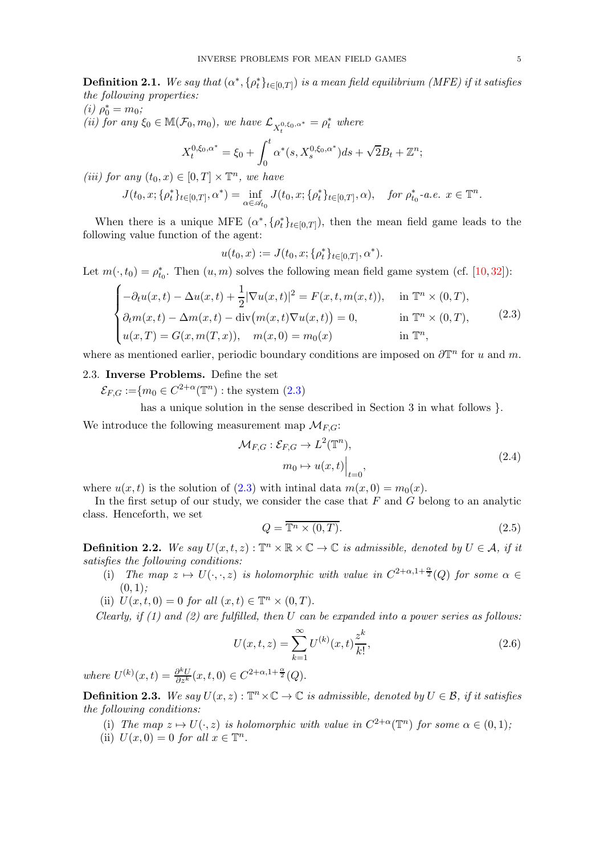**Definition 2.1.** We say that  $(\alpha^*, {\rho_t^*}_{t\in[0,T]})$  is a mean field equilibrium (MFE) if it satisfies the following properties:

(i) 
$$
\rho_0^* = m_0
$$
;  
\n(ii) for any  $\xi_0 \in \mathbb{M}(\mathcal{F}_0, m_0)$ , we have  $\mathcal{L}_{X_t^{0,\xi_0,\alpha^*}} = \rho_t^*$  where

$$
X_t^{0,\xi_0,\alpha^*} = \xi_0 + \int_0^t \alpha^*(s, X_s^{0,\xi_0,\alpha^*}) ds + \sqrt{2}B_t + \mathbb{Z}^n;
$$

(iii) for any  $(t_0, x) \in [0, T] \times \mathbb{T}^n$ , we have

$$
J(t_0, x; \{\rho_t^*\}_{t \in [0,T]}, \alpha^*) = \inf_{\alpha \in \mathscr{A}_{t_0}} J(t_0, x; \{\rho_t^*\}_{t \in [0,T]}, \alpha), \text{ for } \rho_{t_0}^* \text{-a.e. } x \in \mathbb{T}^n.
$$

When there is a unique MFE  $(\alpha^*, {\rho_t^*}_{t\in[0,T]})$ , then the mean field game leads to the following value function of the agent:

$$
u(t_0, x) := J(t_0, x; \{\rho_t^*\}_{t \in [0,T]}, \alpha^*).
$$

Let  $m(\cdot, t_0) = \rho_{t_0}^*$ . Then  $(u, m)$  solves the following mean field game system (cf. [\[10,](#page-24-6)[32\]](#page-25-4)):

<span id="page-4-1"></span>
$$
\begin{cases}\n-\partial_t u(x,t) - \Delta u(x,t) + \frac{1}{2} |\nabla u(x,t)|^2 = F(x,t,m(x,t)), & \text{in } \mathbb{T}^n \times (0,T), \\
\partial_t m(x,t) - \Delta m(x,t) - \text{div}(m(x,t)\nabla u(x,t)) = 0, & \text{in } \mathbb{T}^n \times (0,T), \\
u(x,T) = G(x,m(T,x)), & m(x,0) = m_0(x) & \text{in } \mathbb{T}^n,\n\end{cases}
$$
\n(2.3)

<span id="page-4-0"></span>where as mentioned earlier, periodic boundary conditions are imposed on  $\partial \mathbb{T}^n$  for u and m.

# 2.3. Inverse Problems. Define the set

 $\mathcal{E}_{F,G} := \{m_0 \in C^{2+\alpha}(\mathbb{T}^n) : \text{the system (2.3)}\}$  $\mathcal{E}_{F,G} := \{m_0 \in C^{2+\alpha}(\mathbb{T}^n) : \text{the system (2.3)}\}$  $\mathcal{E}_{F,G} := \{m_0 \in C^{2+\alpha}(\mathbb{T}^n) : \text{the system (2.3)}\}$ 

has a unique solution in the sense described in Section 3 in what follows  $\}$ .

We introduce the following measurement map  $\mathcal{M}_{F,G}$ :

$$
\mathcal{M}_{F,G}: \mathcal{E}_{F,G} \to L^2(\mathbb{T}^n),
$$
  
\n
$$
m_0 \mapsto u(x,t)\Big|_{t=0},
$$
\n(2.4)

where  $u(x, t)$  is the solution of [\(2.3\)](#page-4-1) with intinal data  $m(x, 0) = m_0(x)$ .

In the first setup of our study, we consider the case that  $F$  and  $G$  belong to an analytic class. Henceforth, we set

<span id="page-4-5"></span>
$$
Q = \overline{\mathbb{T}^n \times (0, T)}.
$$
\n
$$
(2.5)
$$

<span id="page-4-2"></span>**Definition 2.2.** We say  $U(x,t,z): \mathbb{T}^n \times \mathbb{R} \times \mathbb{C} \to \mathbb{C}$  is admissible, denoted by  $U \in \mathcal{A}$ , if it satisfies the following conditions:

- (i) The map  $z \mapsto U(\cdot, \cdot, z)$  is holomorphic with value in  $C^{2+\alpha, 1+\frac{\alpha}{2}}(Q)$  for some  $\alpha \in$  $(0, 1);$
- (ii)  $U(x,t,0) = 0$  for all  $(x,t) \in \mathbb{T}^n \times (0,T)$ .

Clearly, if  $(1)$  and  $(2)$  are fulfilled, then U can be expanded into a power series as follows:

<span id="page-4-4"></span>
$$
U(x,t,z) = \sum_{k=1}^{\infty} U^{(k)}(x,t) \frac{z^k}{k!},
$$
\n(2.6)

where  $U^{(k)}(x,t) = \frac{\partial^k U}{\partial z^k}(x,t,0) \in C^{2+\alpha,1+\frac{\alpha}{2}}(Q)$ .

<span id="page-4-3"></span>**Definition 2.3.** We say  $U(x, z) : \mathbb{T}^n \times \mathbb{C} \to \mathbb{C}$  is admissible, denoted by  $U \in \mathcal{B}$ , if it satisfies the following conditions:

- (i) The map  $z \mapsto U(\cdot, z)$  is holomorphic with value in  $C^{2+\alpha}(\mathbb{T}^n)$  for some  $\alpha \in (0,1)$ ;
- (ii)  $U(x, 0) = 0$  for all  $x \in \mathbb{T}^n$ .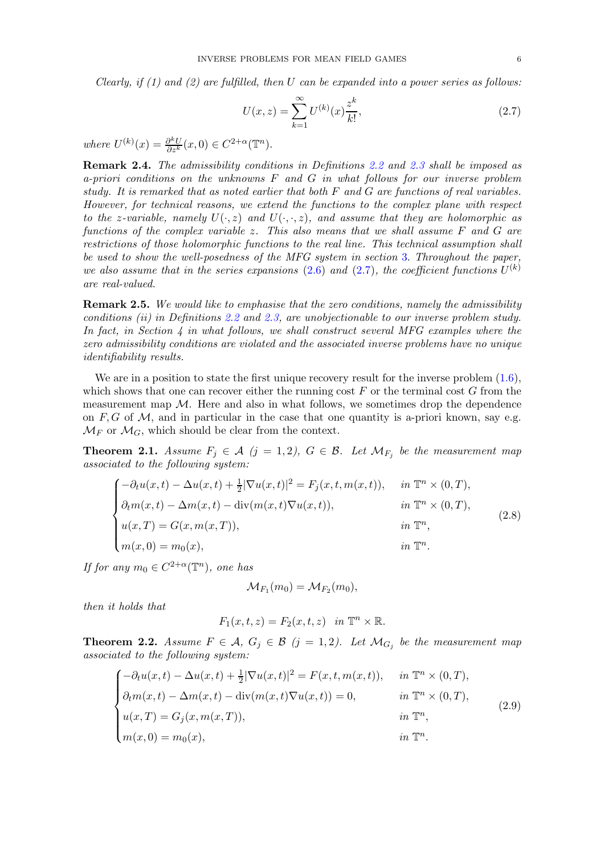Clearly, if  $(1)$  and  $(2)$  are fulfilled, then U can be expanded into a power series as follows:

<span id="page-5-2"></span>
$$
U(x,z) = \sum_{k=1}^{\infty} U^{(k)}(x) \frac{z^k}{k!},
$$
\n(2.7)

where  $U^{(k)}(x) = \frac{\partial^k U}{\partial z^k}(x,0) \in C^{2+\alpha}(\mathbb{T}^n)$ .

<span id="page-5-4"></span>Remark 2.4. The admissibility conditions in Definitions [2.2](#page-4-2) and [2.3](#page-4-3) shall be imposed as a-priori conditions on the unknowns  $F$  and  $G$  in what follows for our inverse problem study. It is remarked that as noted earlier that both F and G are functions of real variables. However, for technical reasons, we extend the functions to the complex plane with respect to the z-variable, namely  $U(\cdot, z)$  and  $U(\cdot, \cdot, z)$ , and assume that they are holomorphic as functions of the complex variable z. This also means that we shall assume F and G are restrictions of those holomorphic functions to the real line. This technical assumption shall be used to show the well-posedness of the MFG system in section [3](#page-6-0). Throughout the paper, we also assume that in the series expansions [\(2.6\)](#page-4-4) and [\(2.7\)](#page-5-2), the coefficient functions  $U^{(k)}$ are real-valued.

**Remark 2.5.** We would like to emphasise that the zero conditions, namely the admissibility conditions (ii) in Definitions [2.2](#page-4-2) and [2.3,](#page-4-3) are unobjectionable to our inverse problem study. In fact, in Section 4 in what follows, we shall construct several MFG examples where the zero admissibility conditions are violated and the associated inverse problems have no unique identifiability results.

We are in a position to state the first unique recovery result for the inverse problem  $(1.6)$ , which shows that one can recover either the running cost  $F$  or the terminal cost  $G$  from the measurement map  $\mathcal M$ . Here and also in what follows, we sometimes drop the dependence on  $F, G$  of M, and in particular in the case that one quantity is a-priori known, say e.g.  $\mathcal{M}_F$  or  $\mathcal{M}_G$ , which should be clear from the context.

<span id="page-5-0"></span>**Theorem 2.1.** Assume  $F_j \in \mathcal{A}$  ( $j = 1, 2$ ),  $G \in \mathcal{B}$ . Let  $\mathcal{M}_{F_j}$  be the measurement map associated to the following system:

<span id="page-5-3"></span>
$$
\begin{cases}\n-\partial_t u(x,t) - \Delta u(x,t) + \frac{1}{2} |\nabla u(x,t)|^2 = F_j(x,t,m(x,t)), & \text{in } \mathbb{T}^n \times (0,T), \\
\partial_t m(x,t) - \Delta m(x,t) - \text{div}(m(x,t)\nabla u(x,t)), & \text{in } \mathbb{T}^n \times (0,T), \\
u(x,T) = G(x,m(x,T)), & \text{in } \mathbb{T}^n, \\
m(x,0) = m_0(x), & \text{in } \mathbb{T}^n.\n\end{cases}
$$
\n(2.8)

If for any  $m_0 \in C^{2+\alpha}(\mathbb{T}^n)$ , one has

$$
\mathcal{M}_{F_1}(m_0) = \mathcal{M}_{F_2}(m_0),
$$

then it holds that

$$
F_1(x,t,z) = F_2(x,t,z) \quad in \mathbb{T}^n \times \mathbb{R}.
$$

<span id="page-5-1"></span>**Theorem 2.2.** Assume  $F \in \mathcal{A}$ ,  $G_j \in \mathcal{B}$  (j = 1,2). Let  $\mathcal{M}_{G_j}$  be the measurement map associated to the following system:

$$
\begin{cases}\n-\partial_t u(x,t) - \Delta u(x,t) + \frac{1}{2} |\nabla u(x,t)|^2 = F(x,t,m(x,t)), & \text{in } \mathbb{T}^n \times (0,T), \\
\partial_t m(x,t) - \Delta m(x,t) - \text{div}(m(x,t)\nabla u(x,t)) = 0, & \text{in } \mathbb{T}^n \times (0,T), \\
u(x,T) = G_j(x,m(x,T)), & \text{in } \mathbb{T}^n, \\
m(x,0) = m_0(x), & \text{in } \mathbb{T}^n.\n\end{cases}
$$
\n(2.9)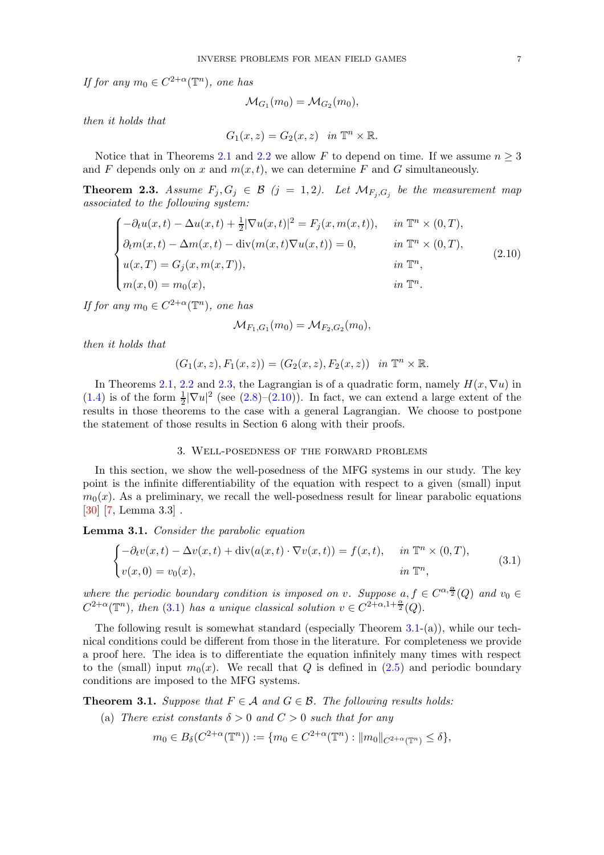If for any  $m_0 \in C^{2+\alpha}(\mathbb{T}^n)$ , one has

$$
\mathcal{M}_{G_1}(m_0) = \mathcal{M}_{G_2}(m_0),
$$

then it holds that

$$
G_1(x, z) = G_2(x, z) \quad in \mathbb{T}^n \times \mathbb{R}.
$$

Notice that in Theorems [2.1](#page-5-0) and [2.2](#page-5-1) we allow F to depend on time. If we assume  $n \geq 3$ and F depends only on x and  $m(x, t)$ , we can determine F and G simultaneously.

<span id="page-6-1"></span>**Theorem 2.3.** Assume  $F_j, G_j \in \mathcal{B}$   $(j = 1, 2)$ . Let  $\mathcal{M}_{F_j, G_j}$  be the measurement map associated to the following system:

<span id="page-6-2"></span>
$$
\begin{cases}\n-\partial_t u(x,t) - \Delta u(x,t) + \frac{1}{2} |\nabla u(x,t)|^2 = F_j(x, m(x,t)), & \text{in } \mathbb{T}^n \times (0,T), \\
\partial_t m(x,t) - \Delta m(x,t) - \text{div}(m(x,t)\nabla u(x,t)) = 0, & \text{in } \mathbb{T}^n \times (0,T), \\
u(x,T) = G_j(x, m(x,T)), & \text{in } \mathbb{T}^n, \\
m(x,0) = m_0(x), & \text{in } \mathbb{T}^n.\n\end{cases}
$$
\n(2.10)

If for any  $m_0 \in C^{2+\alpha}(\mathbb{T}^n)$ , one has

$$
\mathcal{M}_{F_1,G_1}(m_0) = \mathcal{M}_{F_2,G_2}(m_0),
$$

then it holds that

$$
(G_1(x, z), F_1(x, z)) = (G_2(x, z), F_2(x, z)) \text{ in } \mathbb{T}^n \times \mathbb{R}.
$$

In Theorems [2.1,](#page-5-0) [2.2](#page-5-1) and [2.3,](#page-6-1) the Lagrangian is of a quadratic form, namely  $H(x, \nabla u)$  in [\(1.4\)](#page-1-0) is of the form  $\frac{1}{2}|\nabla u|^2$  (see [\(2.8\)](#page-5-3)–[\(2.10\)](#page-6-2)). In fact, we can extend a large extent of the results in those theorems to the case with a general Lagrangian. We choose to postpone the statement of those results in Section 6 along with their proofs.

## 3. Well-posedness of the forward problems

<span id="page-6-0"></span>In this section, we show the well-posedness of the MFG systems in our study. The key point is the infinite differentiability of the equation with respect to a given (small) input  $m<sub>0</sub>(x)$ . As a preliminary, we recall the well-posedness result for linear parabolic equations [\[30\]](#page-25-15) [\[7,](#page-24-12) Lemma 3.3] .

# <span id="page-6-5"></span>Lemma 3.1. Consider the parabolic equation

<span id="page-6-3"></span>
$$
\begin{cases}\n-\partial_t v(x,t) - \Delta v(x,t) + \operatorname{div}(a(x,t) \cdot \nabla v(x,t)) = f(x,t), & \text{in } \mathbb{T}^n \times (0,T), \\
v(x,0) = v_0(x), & \text{in } \mathbb{T}^n,\n\end{cases}
$$
\n(3.1)

where the periodic boundary condition is imposed on v. Suppose  $a, f \in C^{\alpha, \frac{\alpha}{2}}(Q)$  and  $v_0 \in$  $C^{2+\alpha}(\mathbb{T}^n)$ , then [\(3.1\)](#page-6-3) has a unique classical solution  $v \in C^{2+\alpha,1+\frac{\alpha}{2}}(Q)$ .

The following result is somewhat standard (especially Theorem [3.1-](#page-6-4)(a)), while our technical conditions could be different from those in the literature. For completeness we provide a proof here. The idea is to differentiate the equation infinitely many times with respect to the (small) input  $m_0(x)$ . We recall that Q is defined in [\(2.5\)](#page-4-5) and periodic boundary conditions are imposed to the MFG systems.

<span id="page-6-4"></span>**Theorem 3.1.** Suppose that  $F \in \mathcal{A}$  and  $G \in \mathcal{B}$ . The following results holds:

(a) There exist constants  $\delta > 0$  and  $C > 0$  such that for any

$$
m_0 \in B_{\delta}(C^{2+\alpha}(\mathbb{T}^n)) := \{ m_0 \in C^{2+\alpha}(\mathbb{T}^n) : ||m_0||_{C^{2+\alpha}(\mathbb{T}^n)} \le \delta \},
$$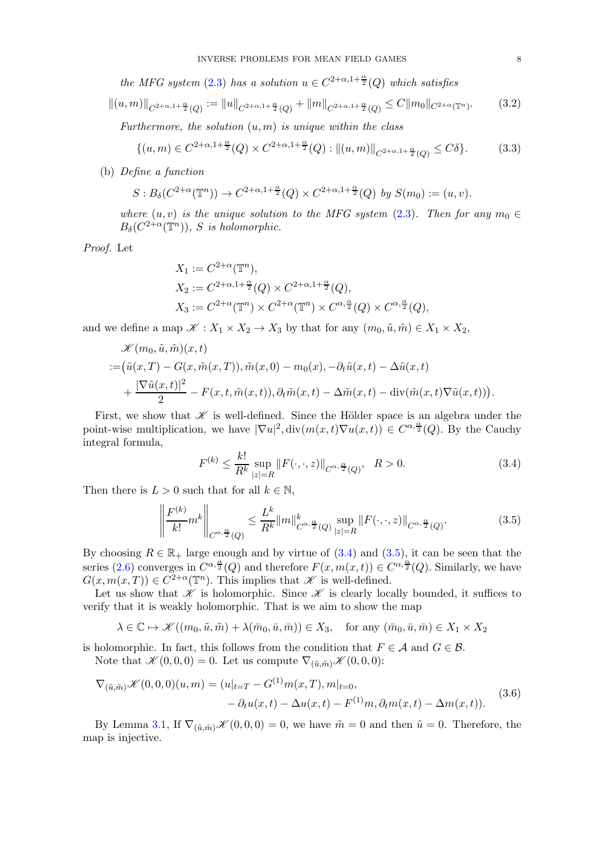the MFG system [\(2.3\)](#page-4-1) has a solution  $u \in C^{2+\alpha,1+\frac{\alpha}{2}}(Q)$  which satisfies

$$
||(u,m)||_{C^{2+\alpha,1+\frac{\alpha}{2}}(Q)} := ||u||_{C^{2+\alpha,1+\frac{\alpha}{2}}(Q)} + ||m||_{C^{2+\alpha,1+\frac{\alpha}{2}}(Q)} \leq C ||m_0||_{C^{2+\alpha}(\mathbb{T}^n)}.
$$
 (3.2)

Furthermore, the solution  $(u, m)$  is unique within the class

$$
\{(u,m)\in C^{2+\alpha,1+\frac{\alpha}{2}}(Q)\times C^{2+\alpha,1+\frac{\alpha}{2}}(Q):||(u,m)||_{C^{2+\alpha,1+\frac{\alpha}{2}}(Q)}\leq C\delta\}.
$$
 (3.3)

(b) Define a function

$$
S: B_{\delta}(C^{2+\alpha}(\mathbb{T}^n)) \to C^{2+\alpha, 1+\frac{\alpha}{2}}(Q) \times C^{2+\alpha, 1+\frac{\alpha}{2}}(Q) \text{ by } S(m_0) := (u, v).
$$

where  $(u, v)$  is the unique solution to the MFG system  $(2.3)$ . Then for any  $m_0 \in$  $B_{\delta}(C^{2+\alpha}(\mathbb{T}^n)), S$  is holomorphic.

Proof. Let

$$
X_1 := C^{2+\alpha}(\mathbb{T}^n),
$$
  
\n
$$
X_2 := C^{2+\alpha, 1+\frac{\alpha}{2}}(Q) \times C^{2+\alpha, 1+\frac{\alpha}{2}}(Q),
$$
  
\n
$$
X_3 := C^{2+\alpha}(\mathbb{T}^n) \times C^{2+\alpha}(\mathbb{T}^n) \times C^{\alpha, \frac{\alpha}{2}}(Q) \times C^{\alpha, \frac{\alpha}{2}}(Q),
$$

and we define a map  $\mathscr{K}: X_1 \times X_2 \to X_3$  by that for any  $(m_0, \tilde{u}, \tilde{m}) \in X_1 \times X_2$ ,

$$
\mathcal{K}(m_0, \tilde{u}, \tilde{m})(x, t)
$$
  
:= $(\tilde{u}(x,T) - G(x, \tilde{m}(x,T)), \tilde{m}(x,0) - m_0(x), -\partial_t \tilde{u}(x,t) - \Delta \tilde{u}(x,t))$   
+ $\frac{|\nabla \tilde{u}(x,t)|^2}{2} - F(x,t, \tilde{m}(x,t)), \partial_t \tilde{m}(x,t) - \Delta \tilde{m}(x,t) - \text{div}(\tilde{m}(x,t) \nabla \tilde{u}(x,t))).$ 

First, we show that  $K$  is well-defined. Since the Hölder space is an algebra under the point-wise multiplication, we have  $|\nabla u|^2$ ,  $\text{div}(m(x,t)\nabla u(x,t)) \in C^{\alpha,\frac{\alpha}{2}}(Q)$ . By the Cauchy integral formula,

<span id="page-7-0"></span>
$$
F^{(k)} \le \frac{k!}{R^k} \sup_{|z|=R} \|F(\cdot, \cdot, z)\|_{C^{\alpha, \frac{\alpha}{2}}(Q)}, \quad R > 0.
$$
 (3.4)

Then there is  $L > 0$  such that for all  $k \in \mathbb{N}$ ,

<span id="page-7-1"></span>
$$
\left\| \frac{F^{(k)}}{k!} m^k \right\|_{C^{\alpha, \frac{\alpha}{2}}(Q)} \le \frac{L^k}{R^k} \|m\|_{C^{\alpha, \frac{\alpha}{2}}(Q)}^k \sup_{|z|=R} \|F(\cdot, \cdot, z)\|_{C^{\alpha, \frac{\alpha}{2}}(Q)}.\tag{3.5}
$$

By choosing  $R \in \mathbb{R}_+$  large enough and by virtue of  $(3.4)$  and  $(3.5)$ , it can be seen that the series [\(2.6\)](#page-4-4) converges in  $C^{\alpha, \frac{\alpha}{2}}(Q)$  and therefore  $F(x, m(x,t)) \in C^{\alpha, \frac{\alpha}{2}}(Q)$ . Similarly, we have  $G(x, m(x,T)) \in C^{2+\alpha}(\mathbb{T}^n)$ . This implies that  $\mathscr K$  is well-defined.

Let us show that  $\mathscr K$  is holomorphic. Since  $\mathscr K$  is clearly locally bounded, it suffices to verify that it is weakly holomorphic. That is we aim to show the map

$$
\lambda\in\mathbb{C}\mapsto\mathscr{K}((m_0,\tilde{u},\tilde{m})+\lambda(\bar{m}_0,\bar{u},\bar{m}))\in X_3,\quad\text{for any }(\bar{m}_0,\bar{u},\bar{m})\in X_1\times X_2
$$

is holomorphic. In fact, this follows from the condition that  $F \in \mathcal{A}$  and  $G \in \mathcal{B}$ . Note that  $\mathscr{K}(0,0,0) = 0$ . Let us compute  $\nabla_{(\tilde{u},\tilde{m})} \mathscr{K}(0,0,0)$ :

$$
\nabla_{(\tilde{u},\tilde{m})} \mathcal{K}(0,0,0)(u,m) = (u|_{t=T} - G^{(1)}m(x,T), m|_{t=0},
$$
  

$$
- \partial_t u(x,t) - \Delta u(x,t) - F^{(1)}m, \partial_t m(x,t) - \Delta m(x,t)).
$$
 (3.6)

By Lemma 3.[1,](#page-6-5) If  $\nabla_{(\tilde{u},\tilde{m})} \mathscr{K}(0,0,0) = 0$ , we have  $\tilde{m} = 0$  and then  $\tilde{u} = 0$ . Therefore, the map is injective.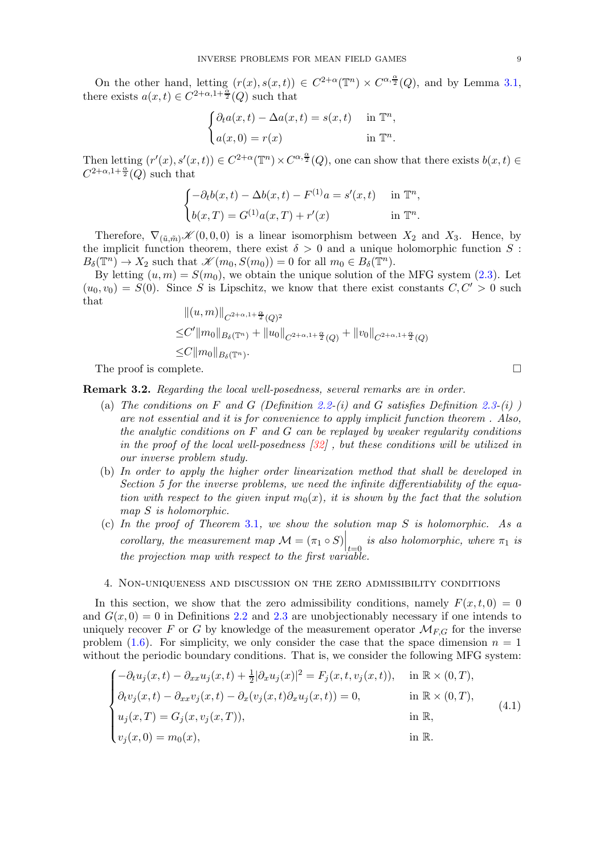On the other hand, letting  $(r(x), s(x,t)) \in C^{2+\alpha}(\mathbb{T}^n) \times C^{\alpha, \frac{\alpha}{2}}(Q)$ , and by Lemma 3.[1,](#page-6-5) there exists  $a(x,t) \in C^{2+\alpha,1+\frac{\alpha}{2}}(Q)$  such that

$$
\begin{cases} \partial_t a(x,t) - \Delta a(x,t) = s(x,t) & \text{in } \mathbb{T}^n, \\ a(x,0) = r(x) & \text{in } \mathbb{T}^n. \end{cases}
$$

Then letting  $(r'(x), s'(x, t)) \in C^{2+\alpha}(\mathbb{T}^n) \times C^{\alpha, \frac{\alpha}{2}}(Q)$ , one can show that there exists  $b(x, t) \in$  $C^{2+\alpha,1+\frac{\alpha}{2}}(Q)$  such that

$$
\begin{cases}\n-\partial_t b(x,t) - \Delta b(x,t) - F^{(1)}a = s'(x,t) & \text{in } \mathbb{T}^n, \\
b(x,T) = G^{(1)}a(x,T) + r'(x) & \text{in } \mathbb{T}^n.\n\end{cases}
$$

Therefore,  $\nabla_{(\tilde{u},\tilde{m})}\mathscr{K}(0,0,0)$  is a linear isomorphism between  $X_2$  and  $X_3$ . Hence, by the implicit function theorem, there exist  $\delta > 0$  and a unique holomorphic function S:  $B_{\delta}(\mathbb{T}^n) \to X_2$  such that  $\mathscr{K}(m_0, S(m_0)) = 0$  for all  $m_0 \in B_{\delta}(\mathbb{T}^n)$ .

By letting  $(u, m) = S(m_0)$ , we obtain the unique solution of the MFG system [\(2.3\)](#page-4-1). Let  $(u_0, v_0) = S(0)$ . Since S is Lipschitz, we know that there exist constants  $C, C' > 0$  such that  $\frac{||f_{\alpha_k} - f_{\alpha_k}||}{||f_{\alpha_k}||}$ 

$$
||(u, m)||_{C^{2+\alpha, 1+\frac{\alpha}{2}}(Q)^2}
$$
  
\n
$$
\leq C'||m_0||_{B_\delta(\mathbb{T}^n)} + ||u_0||_{C^{2+\alpha, 1+\frac{\alpha}{2}}(Q)} + ||v_0||_{C^{2+\alpha, 1+\frac{\alpha}{2}}(Q)}
$$
  
\n
$$
\leq C||m_0||_{B_\delta(\mathbb{T}^n)}.
$$

The proof is complete.  $\Box$ 

Remark 3.2. Regarding the local well-posedness, several remarks are in order.

- (a) The conditions on F and G (Definition [2.2-](#page-4-2)(i) and G satisfies Definition [2.3-](#page-4-3)(i) are not essential and it is for convenience to apply implicit function theorem . Also, the analytic conditions on  $F$  and  $G$  can be replayed by weaker regularity conditions in the proof of the local well-posedness [\[32\]](#page-25-4) , but these conditions will be utilized in our inverse problem study.
- (b) In order to apply the higher order linearization method that shall be developed in Section 5 for the inverse problems, we need the infinite differentiability of the equation with respect to the given input  $m_0(x)$ , it is shown by the fact that the solution map S is holomorphic.
- (c) In the proof of Theorem [3](#page-6-4).1, we show the solution map  $S$  is holomorphic. As a corollary, the measurement map  $\mathcal{M} = (\pi_1 \circ S) \Big|_{t=0 \atop t=0}$  is also holomorphic, where  $\pi_1$  is the projection map with respect to the first variable.

#### <span id="page-8-0"></span>4. Non-uniqueness and discussion on the zero admissibility conditions

In this section, we show that the zero admissibility conditions, namely  $F(x, t, 0) = 0$ and  $G(x, 0) = 0$  in Definitions [2.2](#page-4-2) and [2.3](#page-4-3) are unobjectionably necessary if one intends to uniquely recover F or G by knowledge of the measurement operator  $\mathcal{M}_{FG}$  for the inverse problem [\(1.6\)](#page-2-0). For simplicity, we only consider the case that the space dimension  $n = 1$ without the periodic boundary conditions. That is, we consider the following MFG system:

<span id="page-8-1"></span>
$$
\begin{cases}\n-\partial_t u_j(x,t) - \partial_{xx} u_j(x,t) + \frac{1}{2} |\partial_x u_j(x)|^2 = F_j(x,t,v_j(x,t)), & \text{in } \mathbb{R} \times (0,T), \\
\partial_t v_j(x,t) - \partial_{xx} v_j(x,t) - \partial_x (v_j(x,t) \partial_x u_j(x,t)) = 0, & \text{in } \mathbb{R} \times (0,T), \\
u_j(x,T) = G_j(x,v_j(x,T)), & \text{in } \mathbb{R}, \\
v_j(x,0) = m_0(x), & \text{in } \mathbb{R}.\n\end{cases}
$$
\n(4.1)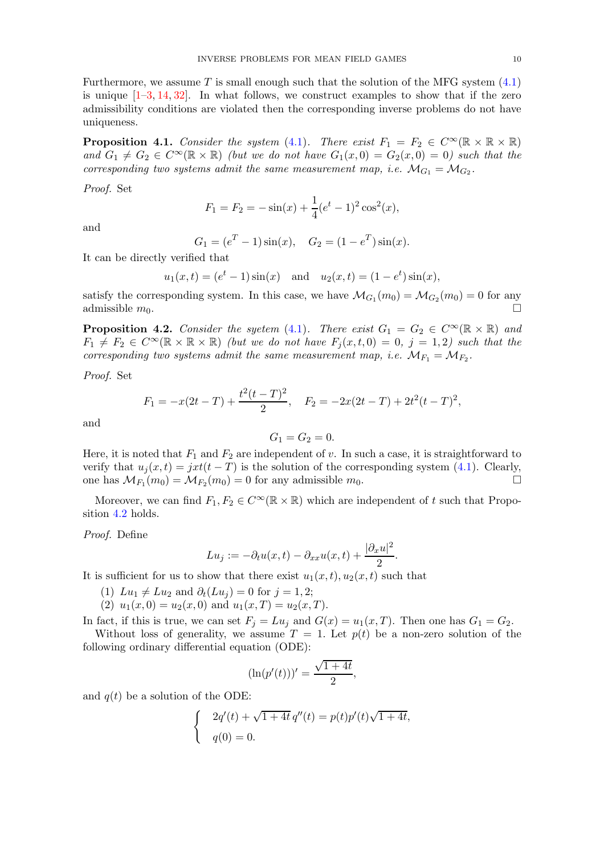Furthermore, we assume  $T$  is small enough such that the solution of the MFG system  $(4.1)$ is unique  $[1-3, 14, 32]$  $[1-3, 14, 32]$  $[1-3, 14, 32]$  $[1-3, 14, 32]$ . In what follows, we construct examples to show that if the zero admissibility conditions are violated then the corresponding inverse problems do not have uniqueness.

**Proposition 4.1.** Consider the system [\(4.1\)](#page-8-1). There exist  $F_1 = F_2 \in C^\infty(\mathbb{R} \times \mathbb{R} \times \mathbb{R})$ and  $G_1 \neq G_2 \in C^{\infty}(\mathbb{R} \times \mathbb{R})$  (but we do not have  $G_1(x, 0) = G_2(x, 0) = 0$ ) such that the corresponding two systems admit the same measurement map, i.e.  $\mathcal{M}_{G_1} = \mathcal{M}_{G_2}$ .

Proof. Set

$$
F_1 = F_2 = -\sin(x) + \frac{1}{4}(e^t - 1)^2 \cos^2(x),
$$

and

$$
G_1 = (e^T - 1)\sin(x), \quad G_2 = (1 - e^T)\sin(x).
$$

It can be directly verified that

$$
u_1(x,t) = (e^t - 1)\sin(x)
$$
 and  $u_2(x,t) = (1 - e^t)\sin(x)$ ,

satisfy the corresponding system. In this case, we have  $\mathcal{M}_{G_1}(m_0) = \mathcal{M}_{G_2}(m_0) = 0$  for any admissible  $m_0$ .

<span id="page-9-0"></span>**Proposition 4.2.** Consider the syetem [\(4.1\)](#page-8-1). There exist  $G_1 = G_2 \in C^\infty(\mathbb{R} \times \mathbb{R})$  and  $F_1 \neq F_2 \in C^{\infty}(\mathbb{R} \times \mathbb{R} \times \mathbb{R})$  (but we do not have  $F_i(x, t, 0) = 0$ ,  $j = 1, 2$ ) such that the corresponding two systems admit the same measurement map, i.e.  $\mathcal{M}_{F_1} = \mathcal{M}_{F_2}$ .

Proof. Set

$$
F_1 = -x(2t - T) + \frac{t^2(t - T)^2}{2}, \quad F_2 = -2x(2t - T) + 2t^2(t - T)^2,
$$

and

$$
G_1=G_2=0.
$$

Here, it is noted that  $F_1$  and  $F_2$  are independent of v. In such a case, it is straightforward to verify that  $u_j(x,t) = jxt(t-T)$  is the solution of the corresponding system [\(4.1\)](#page-8-1). Clearly,<br>one has  $M_E(m_0) = M_E(m_0) = 0$  for any admissible  $m_0$ one has  $\mathcal{M}_{F_1}(m_0) = \mathcal{M}_{F_2}(m_0) = 0$  for any admissible  $m_0$ .

Moreover, we can find  $F_1, F_2 \in C^\infty(\mathbb{R} \times \mathbb{R})$  which are independent of t such that Proposition [4](#page-9-0).2 holds.

Proof. Define

$$
Lu_j := -\partial_t u(x,t) - \partial_{xx} u(x,t) + \frac{|\partial_x u|^2}{2}.
$$

It is sufficient for us to show that there exist  $u_1(x, t)$ ,  $u_2(x, t)$  such that

- (1)  $Lu_1 \neq Lu_2$  and  $\partial_t(Lu_j) = 0$  for  $j = 1, 2;$
- (2)  $u_1(x, 0) = u_2(x, 0)$  and  $u_1(x, T) = u_2(x, T)$ .

In fact, if this is true, we can set  $F_j = Lu_j$  and  $G(x) = u_1(x,T)$ . Then one has  $G_1 = G_2$ .

Without loss of generality, we assume  $T = 1$ . Let  $p(t)$  be a non-zero solution of the following ordinary differential equation (ODE):

$$
(\ln(p'(t)))' = \frac{\sqrt{1+4t}}{2},
$$

and  $q(t)$  be a solution of the ODE:

$$
\begin{cases}\n2q'(t) + \sqrt{1+4t} q''(t) = p(t)p'(t)\sqrt{1+4t}, \\
q(0) = 0.\n\end{cases}
$$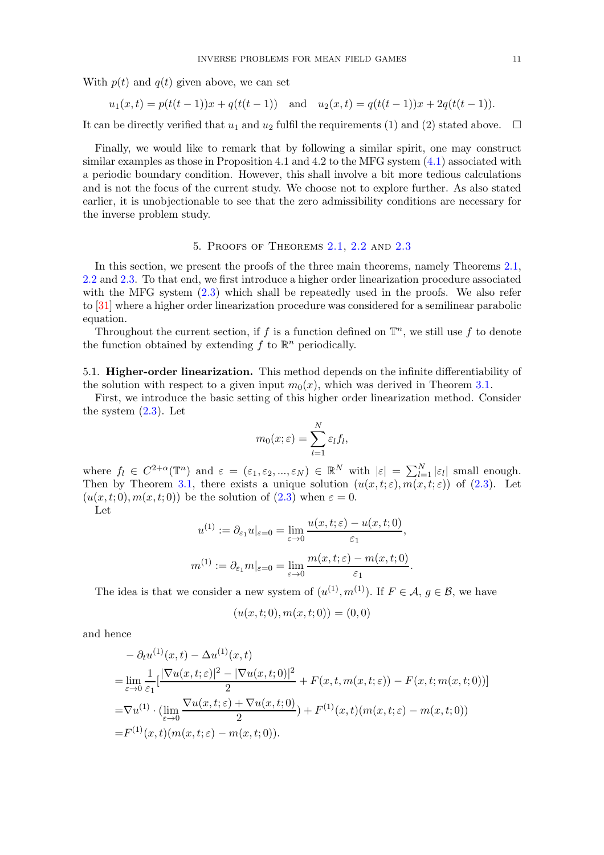With  $p(t)$  and  $q(t)$  given above, we can set

$$
u_1(x,t) = p(t(t-1))x + q(t(t-1))
$$
 and  $u_2(x,t) = q(t(t-1))x + 2q(t(t-1))$ .

It can be directly verified that  $u_1$  and  $u_2$  fulfil the requirements (1) and (2) stated above.  $\Box$ 

Finally, we would like to remark that by following a similar spirit, one may construct similar examples as those in Proposition 4.1 and 4.2 to the MFG system [\(4.1\)](#page-8-1) associated with a periodic boundary condition. However, this shall involve a bit more tedious calculations and is not the focus of the current study. We choose not to explore further. As also stated earlier, it is unobjectionable to see that the zero admissibility conditions are necessary for the inverse problem study.

# 5. Proofs of Theorems [2.1,](#page-5-0) [2.2](#page-5-1) and [2.3](#page-6-1)

<span id="page-10-0"></span>In this section, we present the proofs of the three main theorems, namely Theorems [2.1,](#page-5-0) [2.2](#page-5-1) and [2.3.](#page-6-1) To that end, we first introduce a higher order linearization procedure associated with the MFG system  $(2.3)$  which shall be repeatedly used in the proofs. We also refer to [\[31\]](#page-25-17) where a higher order linearization procedure was considered for a semilinear parabolic equation.

Throughout the current section, if f is a function defined on  $\mathbb{T}^n$ , we still use f to denote the function obtained by extending  $f$  to  $\mathbb{R}^n$  periodically.

<span id="page-10-1"></span>5.1. Higher-order linearization. This method depends on the infinite differentiability of the solution with respect to a given input  $m_0(x)$ , which was derived in Theorem 3.[1.](#page-6-4)

First, we introduce the basic setting of this higher order linearization method. Consider the system  $(2.3)$ . Let

$$
m_0(x;\varepsilon) = \sum_{l=1}^N \varepsilon_l f_l,
$$

where  $f_l \in C^{2+\alpha}(\mathbb{T}^n)$  and  $\varepsilon = (\varepsilon_1, \varepsilon_2, ..., \varepsilon_N) \in \mathbb{R}^N$  with  $|\varepsilon| = \sum_{l=1}^N |\varepsilon_l|$  small enough. Then by Theorem 3.[1,](#page-6-4) there exists a unique solution  $(u(x,t;\varepsilon), m(x,t;\varepsilon))$  of [\(2.3\)](#page-4-1). Let  $(u(x, t; 0), m(x, t; 0))$  be the solution of  $(2.3)$  when  $\varepsilon = 0$ .

Let

$$
u^{(1)} := \partial_{\varepsilon_1} u|_{\varepsilon=0} = \lim_{\varepsilon \to 0} \frac{u(x, t; \varepsilon) - u(x, t; 0)}{\varepsilon_1},
$$
  

$$
m^{(1)} := \partial_{\varepsilon_1} m|_{\varepsilon=0} = \lim_{\varepsilon \to 0} \frac{m(x, t; \varepsilon) - m(x, t; 0)}{\varepsilon_1}.
$$

The idea is that we consider a new system of  $(u^{(1)}, m^{(1)})$ . If  $F \in \mathcal{A}, g \in \mathcal{B}$ , we have

$$
(u(x,t;0),m(x,t;0))=(0,0)\\
$$

and hence

$$
- \partial_t u^{(1)}(x,t) - \Delta u^{(1)}(x,t)
$$
  
= 
$$
\lim_{\varepsilon \to 0} \frac{1}{\varepsilon_1} \left[ \frac{|\nabla u(x,t;\varepsilon)|^2 - |\nabla u(x,t;0)|^2}{2} + F(x,t,m(x,t;\varepsilon)) - F(x,t;m(x,t;0)) \right]
$$
  
= 
$$
\nabla u^{(1)} \cdot (\lim_{\varepsilon \to 0} \frac{\nabla u(x,t;\varepsilon) + \nabla u(x,t;0)}{2}) + F^{(1)}(x,t)(m(x,t;\varepsilon) - m(x,t;0))
$$
  
= 
$$
F^{(1)}(x,t)(m(x,t;\varepsilon) - m(x,t;0)).
$$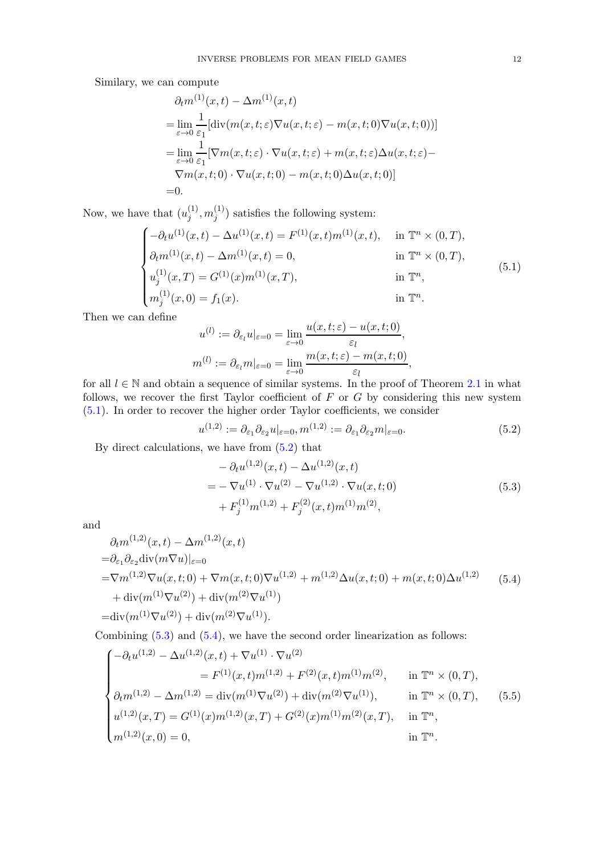Similary, we can compute

$$
\partial_t m^{(1)}(x,t) - \Delta m^{(1)}(x,t)
$$
\n
$$
= \lim_{\varepsilon \to 0} \frac{1}{\varepsilon_1} [\text{div}(m(x,t;\varepsilon)\nabla u(x,t;\varepsilon) - m(x,t;0)\nabla u(x,t;0))]
$$
\n
$$
= \lim_{\varepsilon \to 0} \frac{1}{\varepsilon_1} [\nabla m(x,t;\varepsilon) \cdot \nabla u(x,t;\varepsilon) + m(x,t;\varepsilon)\Delta u(x,t;\varepsilon) - \nabla m(x,t;0) \cdot \nabla u(x,t;0) - m(x,t;0)\Delta u(x,t;0)]
$$
\n=0.

Now, we have that  $(u_i^{(1)})$  $\binom{11}{j},m_j^{(1)}$  $j^{(1)}$ ) satisfies the following system:

<span id="page-11-0"></span>
$$
\begin{cases}\n-\partial_t u^{(1)}(x,t) - \Delta u^{(1)}(x,t) = F^{(1)}(x,t)m^{(1)}(x,t), & \text{in } \mathbb{T}^n \times (0,T), \\
\partial_t m^{(1)}(x,t) - \Delta m^{(1)}(x,t) = 0, & \text{in } \mathbb{T}^n \times (0,T), \\
u_j^{(1)}(x,T) = G^{(1)}(x)m^{(1)}(x,T), & \text{in } \mathbb{T}^n, \\
m_j^{(1)}(x,0) = f_1(x).\n\end{cases}
$$
\n(5.1)

Then we can define

$$
u^{(l)} := \partial_{\varepsilon_l} u|_{\varepsilon=0} = \lim_{\varepsilon \to 0} \frac{u(x,t;\varepsilon) - u(x,t;0)}{\varepsilon_l},
$$
  

$$
m^{(l)} := \partial_{\varepsilon_l} m|_{\varepsilon=0} = \lim_{\varepsilon \to 0} \frac{m(x,t;\varepsilon) - m(x,t;0)}{\varepsilon_l},
$$

for all  $l \in \mathbb{N}$  and obtain a sequence of similar systems. In the proof of Theorem [2](#page-5-0).1 in what follows, we recover the first Taylor coefficient of  $F$  or  $G$  by considering this new system [\(5.1\)](#page-11-0). In order to recover the higher order Taylor coefficients, we consider

<span id="page-11-1"></span>
$$
u^{(1,2)} := \partial_{\varepsilon_1} \partial_{\varepsilon_2} u|_{\varepsilon = 0}, m^{(1,2)} := \partial_{\varepsilon_1} \partial_{\varepsilon_2} m|_{\varepsilon = 0}.
$$
\n(5.2)

By direct calculations, we have from [\(5.2\)](#page-11-1) that

$$
- \partial_t u^{(1,2)}(x,t) - \Delta u^{(1,2)}(x,t)
$$
  
=  $-\nabla u^{(1)} \cdot \nabla u^{(2)} - \nabla u^{(1,2)} \cdot \nabla u(x,t;0)$   
+  $F_j^{(1)} m^{(1,2)} + F_j^{(2)}(x,t) m^{(1)} m^{(2)},$  (5.3)

<span id="page-11-2"></span>and

<span id="page-11-3"></span>
$$
\partial_t m^{(1,2)}(x,t) - \Delta m^{(1,2)}(x,t) \n= \partial_{\varepsilon_1} \partial_{\varepsilon_2} \text{div}(m \nabla u)|_{\varepsilon=0} \n= \nabla m^{(1,2)} \nabla u(x,t;0) + \nabla m(x,t;0) \nabla u^{(1,2)} + m^{(1,2)} \Delta u(x,t;0) + m(x,t;0) \Delta u^{(1,2)} \n+ \text{div}(m^{(1)} \nabla u^{(2)}) + \text{div}(m^{(2)} \nabla u^{(1)}) \n= \text{div}(m^{(1)} \nabla u^{(2)}) + \text{div}(m^{(2)} \nabla u^{(1)}).
$$
\n(5.4)

Combining  $(5.3)$  and  $(5.4)$ , we have the second order linearization as follows:

<span id="page-11-4"></span>
$$
\begin{cases}\n-\partial_t u^{(1,2)} - \Delta u^{(1,2)}(x,t) + \nabla u^{(1)} \cdot \nabla u^{(2)} \\
= F^{(1)}(x,t)m^{(1,2)} + F^{(2)}(x,t)m^{(1)}m^{(2)}, & \text{in } \mathbb{T}^n \times (0,T), \\
\partial_t m^{(1,2)} - \Delta m^{(1,2)} = \text{div}(m^{(1)}\nabla u^{(2)}) + \text{div}(m^{(2)}\nabla u^{(1)}), & \text{in } \mathbb{T}^n \times (0,T), \\
u^{(1,2)}(x,T) = G^{(1)}(x)m^{(1,2)}(x,T) + G^{(2)}(x)m^{(1)}m^{(2)}(x,T), & \text{in } \mathbb{T}^n, \\
m^{(1,2)}(x,0) = 0, & \text{in } \mathbb{T}^n.\n\end{cases}
$$
\n(5.5)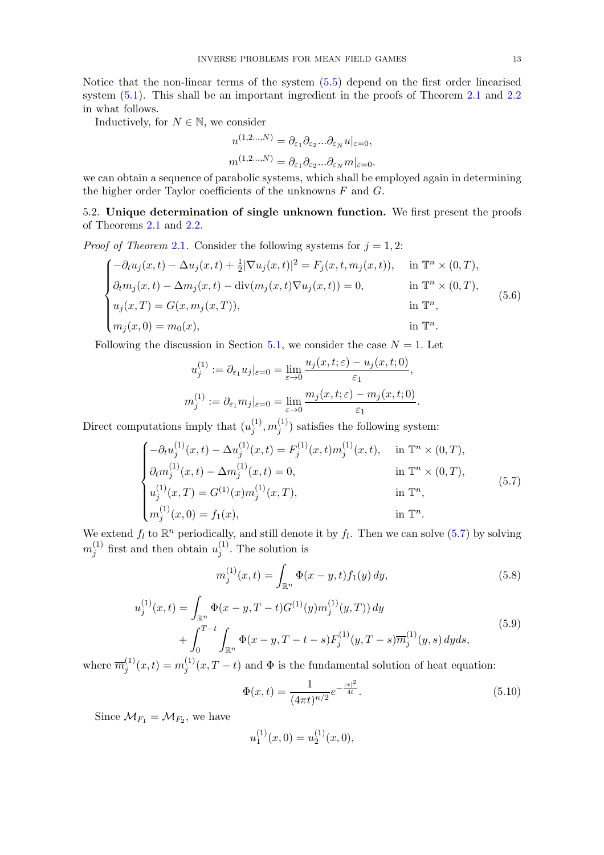Notice that the non-linear terms of the system [\(5.5\)](#page-11-4) depend on the first order linearised system  $(5.1)$ . This shall be an important ingredient in the proofs of Theorem [2](#page-5-1).1 and 2.2 in what follows.

Inductively, for  $N \in \mathbb{N}$ , we consider

$$
u^{(1,2...N)} = \partial_{\varepsilon_1} \partial_{\varepsilon_2} ... \partial_{\varepsilon_N} u|_{\varepsilon=0},
$$
  

$$
m^{(1,2...N)} = \partial_{\varepsilon_1} \partial_{\varepsilon_2} ... \partial_{\varepsilon_N} m|_{\varepsilon=0}.
$$

we can obtain a sequence of parabolic systems, which shall be employed again in determining the higher order Taylor coefficients of the unknowns  $F$  and  $G$ .

<span id="page-12-0"></span>5.2. Unique determination of single unknown function. We first present the proofs of Theorems [2](#page-5-0).1 and 2.[2.](#page-5-1)

*Proof of Theorem [2](#page-5-0).1.* Consider the following systems for  $j = 1, 2$ :

$$
\begin{cases}\n-\partial_t u_j(x,t) - \Delta u_j(x,t) + \frac{1}{2} |\nabla u_j(x,t)|^2 = F_j(x,t,m_j(x,t)), & \text{in } \mathbb{T}^n \times (0,T), \\
\partial_t m_j(x,t) - \Delta m_j(x,t) - \text{div}(m_j(x,t)\nabla u_j(x,t)) = 0, & \text{in } \mathbb{T}^n \times (0,T), \\
u_j(x,T) = G(x,m_j(x,T)), & \text{in } \mathbb{T}^n, \\
m_j(x,0) = m_0(x), & \text{in } \mathbb{T}^n.\n\end{cases}
$$
\n(5.6)

Following the discussion in Section 5.[1,](#page-10-1) we consider the case  $N = 1$ . Let

$$
u_j^{(1)} := \partial_{\varepsilon_1} u_j|_{\varepsilon=0} = \lim_{\varepsilon \to 0} \frac{u_j(x, t; \varepsilon) - u_j(x, t; 0)}{\varepsilon_1},
$$
  

$$
m_j^{(1)} := \partial_{\varepsilon_1} m_j|_{\varepsilon=0} = \lim_{\varepsilon \to 0} \frac{m_j(x, t; \varepsilon) - m_j(x, t; 0)}{\varepsilon_1}.
$$

Direct computations imply that  $(u_i^{(1)})$  $\binom{11}{j},m_j^{(1)}$  $j^{(1)}$ ) satisfies the following system:

<span id="page-12-1"></span>
$$
\begin{cases}\n-\partial_t u_j^{(1)}(x,t) - \Delta u_j^{(1)}(x,t) = F_j^{(1)}(x,t)m_j^{(1)}(x,t), & \text{in } \mathbb{T}^n \times (0,T), \\
\partial_t m_j^{(1)}(x,t) - \Delta m_j^{(1)}(x,t) = 0, & \text{in } \mathbb{T}^n \times (0,T), \\
u_j^{(1)}(x,T) = G^{(1)}(x)m_j^{(1)}(x,T), & \text{in } \mathbb{T}^n, \\
m_j^{(1)}(x,0) = f_1(x), & \text{in } \mathbb{T}^n.\n\end{cases}
$$
\n(5.7)

We extend  $f_l$  to  $\mathbb{R}^n$  periodically, and still denote it by  $f_l$ . Then we can solve [\(5.7\)](#page-12-1) by solving  $m_i^{(1)}$  $j^{(1)}$  first and then obtain  $u_j^{(1)}$  $j^{(1)}$ . The solution is

<span id="page-12-2"></span>
$$
m_j^{(1)}(x,t) = \int_{\mathbb{R}^n} \Phi(x - y, t) f_1(y) \, dy,\tag{5.8}
$$

<span id="page-12-3"></span>
$$
u_j^{(1)}(x,t) = \int_{\mathbb{R}^n} \Phi(x-y,T-t)G^{(1)}(y)m_j^{(1)}(y,T)) dy
$$
  
+ 
$$
\int_0^{T-t} \int_{\mathbb{R}^n} \Phi(x-y,T-t-s)F_j^{(1)}(y,T-s)\overline{m}_j^{(1)}(y,s) dy ds,
$$
 (5.9)

where  $\overline{m}_i^{(1)}$  $j^{(1)}(x,t) = m_j^{(1)}$  $j^{(1)}(x,T-t)$  and  $\Phi$  is the fundamental solution of heat equation:

<span id="page-12-4"></span>
$$
\Phi(x,t) = \frac{1}{(4\pi t)^{n/2}} e^{-\frac{|x|^2}{4t}}.
$$
\n(5.10)

Since  $\mathcal{M}_{F_1} = \mathcal{M}_{F_2}$ , we have

$$
u_1^{(1)}(x,0) = u_2^{(1)}(x,0),
$$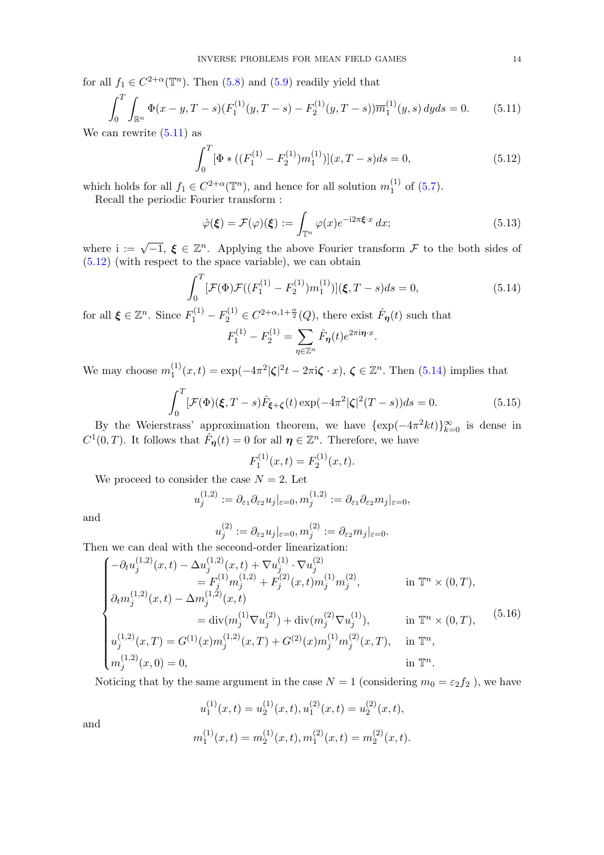for all  $f_1 \in C^{2+\alpha}(\mathbb{T}^n)$ . Then [\(5.8\)](#page-12-2) and [\(5.9\)](#page-12-3) readily yield that

<span id="page-13-0"></span>
$$
\int_0^T \int_{\mathbb{R}^n} \Phi(x - y, T - s) (F_1^{(1)}(y, T - s) - F_2^{(1)}(y, T - s)) \overline{m}_1^{(1)}(y, s) \, dy \, ds = 0. \tag{5.11}
$$

We can rewrite  $(5.11)$  as

<span id="page-13-1"></span>
$$
\int_0^T \left[\Phi * \left( (F_1^{(1)} - F_2^{(1)}) m_1^{(1)} \right) \right](x, T - s) ds = 0,\tag{5.12}
$$

which holds for all  $f_1 \in C^{2+\alpha}(\mathbb{T}^n)$ , and hence for all solution  $m_1^{(1)}$  $_1^{(1)}$  of  $(5.7)$ .

Recall the periodic Fourier transform :

$$
\hat{\varphi}(\boldsymbol{\xi}) = \mathcal{F}(\varphi)(\boldsymbol{\xi}) := \int_{\mathbb{T}^n} \varphi(x) e^{-i2\pi \boldsymbol{\xi} \cdot x} dx; \tag{5.13}
$$

where  $i := \sqrt{-1}$ ,  $\xi \in \mathbb{Z}^n$ . Applying the above Fourier transform  $\mathcal F$  to the both sides of [\(5.12\)](#page-13-1) (with respect to the space variable), we can obtain

<span id="page-13-2"></span>
$$
\int_0^T \left[ \mathcal{F}(\Phi) \mathcal{F}((F_1^{(1)} - F_2^{(1)}) m_1^{(1)}) \right] (\xi, T - s) ds = 0,
$$
\n(5.14)

for all  $\xi \in \mathbb{Z}^n$ . Since  $F_1^{(1)} - F_2^{(1)} \in C^{2+\alpha, 1+\frac{\alpha}{2}}(Q)$ , there exist  $\hat{F}_{\eta}(t)$  such that

$$
F_1^{(1)} - F_2^{(1)} = \sum_{\eta \in \mathbb{Z}^n} \hat{F}_{\eta}(t) e^{2\pi i \eta \cdot x}.
$$

We may choose  $m_1^{(1)}$  $\zeta_1^{(1)}(x,t) = \exp(-4\pi^2 |\zeta|^2 t - 2\pi i \zeta \cdot x), \, \zeta \in \mathbb{Z}^n$ . Then [\(5.14\)](#page-13-2) implies that

$$
\int_0^T \left[ \mathcal{F}(\Phi)(\boldsymbol{\xi}, T - s) \hat{F}_{\boldsymbol{\xi} + \boldsymbol{\zeta}}(t) \exp(-4\pi^2 |\boldsymbol{\zeta}|^2 (T - s)) ds = 0. \tag{5.15}
$$

By the Weierstrass' approximation theorem, we have  $\{\exp(-4\pi^2kt)\}_{k=0}^{\infty}$  is dense in  $C^1(0,T)$ . It follows that  $\hat{F}_{\eta}(t) = 0$  for all  $\eta \in \mathbb{Z}^n$ . Therefore, we have

$$
F_1^{(1)}(x,t) = F_2^{(1)}(x,t).
$$

We proceed to consider the case  $N = 2$ . Let

$$
u_j^{(1,2)} := \partial_{\varepsilon_1} \partial_{\varepsilon_2} u_j|_{\varepsilon=0}, m_j^{(1,2)} := \partial_{\varepsilon_1} \partial_{\varepsilon_2} u_j|_{\varepsilon=0},
$$

and

$$
u_j^{(2)}:=\partial_{\varepsilon_2}u_j|_{\varepsilon=0}, m_j^{(2)}:=\partial_{\varepsilon_2}m_j|_{\varepsilon=0}.
$$

Then we can deal with the seceond-order linearization:

 $(1)$ 

<span id="page-13-3"></span>
$$
\begin{cases}\n-\partial_t u_j^{(1,2)}(x,t) - \Delta u_j^{(1,2)}(x,t) + \nabla u_j^{(1)} \cdot \nabla u_j^{(2)} \\
= F_j^{(1)} m_j^{(1,2)} + F_j^{(2)}(x,t) m_j^{(1)} m_j^{(2)}, & \text{in } \mathbb{T}^n \times (0,T), \\
\partial_t m_j^{(1,2)}(x,t) - \Delta m_j^{(1,2)}(x,t) \\
= \text{div}(m_j^{(1)} \nabla u_j^{(2)}) + \text{div}(m_j^{(2)} \nabla u_j^{(1)}), & \text{in } \mathbb{T}^n \times (0,T), \\
u_j^{(1,2)}(x,T) = G^{(1)}(x) m_j^{(1,2)}(x,T) + G^{(2)}(x) m_j^{(1)} m_j^{(2)}(x,T), & \text{in } \mathbb{T}^n, \\
m_j^{(1,2)}(x,0) = 0, & \text{in } \mathbb{T}^n.\n\end{cases}
$$
\n(5.16)

Noticing that by the same argument in the case  $N = 1$  (considering  $m_0 = \varepsilon_2 f_2$ ), we have

$$
u_1^{(1)}(x,t) = u_2^{(1)}(x,t), u_1^{(2)}(x,t) = u_2^{(2)}(x,t),
$$
  

$$
m_1^{(1)}(x,t) = m_2^{(1)}(x,t), m_1^{(2)}(x,t) = m_2^{(2)}(x,t).
$$

and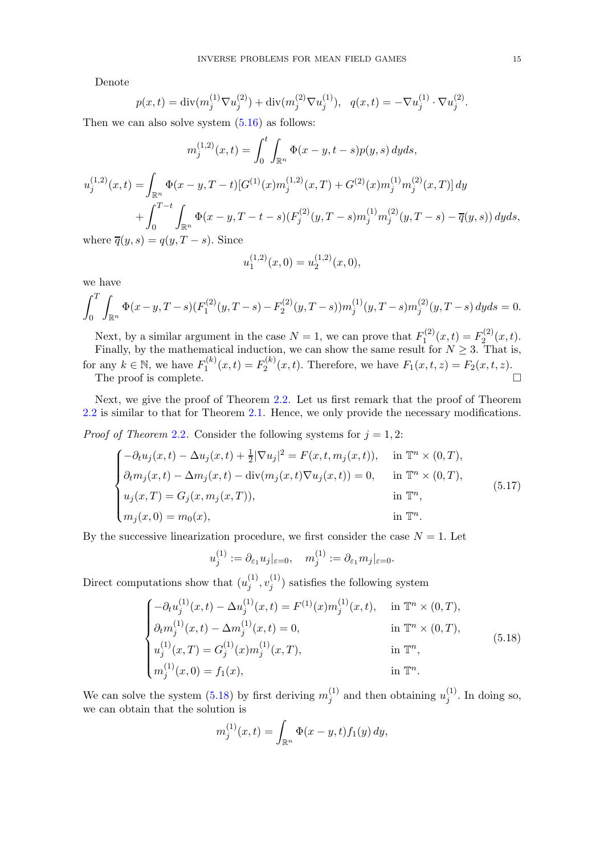Denote

$$
p(x,t) = \text{div}(m_j^{(1)} \nabla u_j^{(2)}) + \text{div}(m_j^{(2)} \nabla u_j^{(1)}), \quad q(x,t) = -\nabla u_j^{(1)} \cdot \nabla u_j^{(2)}.
$$

Then we can also solve system  $(5.16)$  as follows:

$$
m_j^{(1,2)}(x,t) = \int_0^t \int_{\mathbb{R}^n} \Phi(x-y,t-s)p(y,s) \, dyds,
$$
  

$$
u_j^{(1,2)}(x,t) = \int_{\mathbb{R}^n} \Phi(x-y,T-t)[G^{(1)}(x)m_j^{(1,2)}(x,T) + G^{(2)}(x)m_j^{(1)}m_j^{(2)}(x,T)] \, dy
$$
  

$$
+ \int_0^{T-t} \int_{\mathbb{R}^n} \Phi(x-y,T-t-s) \left(F_j^{(2)}(y,T-s)m_j^{(1)}m_j^{(2)}(y,T-s) - \overline{q}(y,s)\right) dyds,
$$
  
where  $\overline{q}(y,s) = q(y,T-s)$ . Since

where  $\overline{q}(y, s) = q(y, T - s)$ . Since

$$
u_1^{(1,2)}(x,0) = u_2^{(1,2)}(x,0),
$$

we have

$$
\int_0^T \int_{\mathbb{R}^n} \Phi(x - y, T - s) (F_1^{(2)}(y, T - s) - F_2^{(2)}(y, T - s)) m_j^{(1)}(y, T - s) m_j^{(2)}(y, T - s) dy ds = 0.
$$

Next, by a similar argument in the case  $N = 1$ , we can prove that  $F_1^{(2)}$  $T_1^{(2)}(x,t) = F_2^{(2)}$  $x_2^{(2)}(x,t).$ Finally, by the mathematical induction, we can show the same result for  $N \geq 3$ . That is, for any  $k \in \mathbb{N}$ , we have  $F_1^{(k)}$  $I_1^{(k)}(x,t) = F_2^{(k)}$  $P_2^{(k)}(x,t)$ . Therefore, we have  $F_1(x,t,z) = F_2(x,t,z)$ . The proof is complete.  $\Box$ 

Next, we give the proof of Theorem 2.[2.](#page-5-1) Let us first remark that the proof of Theorem [2.2](#page-5-1) is similar to that for Theorem [2.1.](#page-5-0) Hence, we only provide the necessary modifications.

*Proof of Theorem [2](#page-5-1).2.* Consider the following systems for  $j = 1, 2$ :

$$
\begin{cases}\n-\partial_t u_j(x,t) - \Delta u_j(x,t) + \frac{1}{2} |\nabla u_j|^2 = F(x,t,m_j(x,t)), & \text{in } \mathbb{T}^n \times (0,T), \\
\partial_t m_j(x,t) - \Delta m_j(x,t) - \text{div}(m_j(x,t)\nabla u_j(x,t)) = 0, & \text{in } \mathbb{T}^n \times (0,T), \\
u_j(x,T) = G_j(x,m_j(x,T)), & \text{in } \mathbb{T}^n, \\
m_j(x,0) = m_0(x), & \text{in } \mathbb{T}^n.\n\end{cases}
$$
\n(5.17)

By the successive linearization procedure, we first consider the case  $N = 1$ . Let

$$
u_j^{(1)} := \partial_{\varepsilon_1} u_j|_{\varepsilon = 0}, \quad m_j^{(1)} := \partial_{\varepsilon_1} m_j|_{\varepsilon = 0}.
$$

Direct computations show that  $(u_i^{(1)})$  $\overset{(1)}{j}, \overset{(1)}{v_j^{(1)}}$  $j^{(1)}$ ) satisfies the following system

<span id="page-14-0"></span>
$$
\begin{cases}\n-\partial_t u_j^{(1)}(x,t) - \Delta u_j^{(1)}(x,t) = F^{(1)}(x) m_j^{(1)}(x,t), & \text{in } \mathbb{T}^n \times (0,T), \\
\partial_t m_j^{(1)}(x,t) - \Delta m_j^{(1)}(x,t) = 0, & \text{in } \mathbb{T}^n \times (0,T), \\
u_j^{(1)}(x,T) = G_j^{(1)}(x) m_j^{(1)}(x,T), & \text{in } \mathbb{T}^n, \\
m_j^{(1)}(x,0) = f_1(x), & \text{in } \mathbb{T}^n.\n\end{cases}
$$
\n(5.18)

We can solve the system [\(5.18\)](#page-14-0) by first deriving  $m_i^{(1)}$  $j^{(1)}$  and then obtaining  $u_j^{(1)}$  $j^{(1)}$ . In doing so, we can obtain that the solution is

$$
m_j^{(1)}(x,t) = \int_{\mathbb{R}^n} \Phi(x - y, t) f_1(y) \, dy,
$$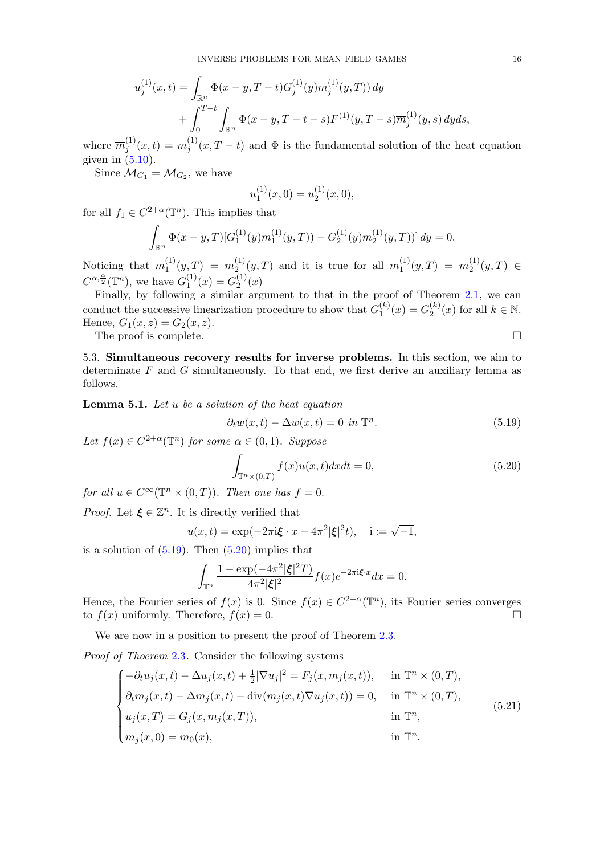$$
u_j^{(1)}(x,t) = \int_{\mathbb{R}^n} \Phi(x-y, T-t) G_j^{(1)}(y) m_j^{(1)}(y, T) dy
$$
  
+ 
$$
\int_0^{T-t} \int_{\mathbb{R}^n} \Phi(x-y, T-t-s) F^{(1)}(y, T-s) \overline{m}_j^{(1)}(y, s) dy ds,
$$

where  $\overline{m}_i^{(1)}$  $j^{(1)}(x,t) = m_j^{(1)}$  $j^{(1)}(x,T-t)$  and  $\Phi$  is the fundamental solution of the heat equation given in  $(5.10)$ .

Since  $\mathcal{M}_{G_1} = \mathcal{M}_{G_2}$ , we have

$$
u_1^{(1)}(x,0) = u_2^{(1)}(x,0),
$$

for all  $f_1 \in C^{2+\alpha}(\mathbb{T}^n)$ . This implies that

$$
\int_{\mathbb{R}^n} \Phi(x - y, T) [G_1^{(1)}(y) m_1^{(1)}(y, T)) - G_2^{(1)}(y) m_2^{(1)}(y, T))] dy = 0.
$$

Noticing that  $m_1^{(1)}$  $\eta_1^{(1)}(y,T) = m_2^{(1)}$  $\chi_2^{(1)}(y,T)$  and it is true for all  $m_1^{(1)}$  $j_1^{(1)}(y,T) = m_2^{(1)}$  $y_2^{(1)}(y,T) \in$  $C^{\alpha,\frac{\alpha}{2}}(\mathbb{T}^n)$ , we have  $G_1^{(1)}$  $\binom{1}{1}(x) = G_2^{(1)}$  $2^{(1)}(x)$ 

Finally, by following a similar argument to that in the proof of Theorem [2.1,](#page-5-0) we can conduct the successive linearization procedure to show that  $G_1^{(k)}$  $I_1^{(k)}(x) = G_2^{(k)}$  $\binom{k}{2}(x)$  for all  $k \in \mathbb{N}$ . Hence,  $G_1(x, z) = G_2(x, z)$ . The proof is complete.  $\Box$ 

<span id="page-15-0"></span>5.3. Simultaneous recovery results for inverse problems. In this section, we aim to determinate  $F$  and  $G$  simultaneously. To that end, we first derive an auxiliary lemma as follows.

<span id="page-15-3"></span>Lemma 5.1. Let u be a solution of the heat equation

<span id="page-15-1"></span>
$$
\partial_t w(x,t) - \Delta w(x,t) = 0 \text{ in } \mathbb{T}^n. \tag{5.19}
$$

Let  $f(x) \in C^{2+\alpha}(\mathbb{T}^n)$  for some  $\alpha \in (0,1)$ . Suppose

<span id="page-15-2"></span>
$$
\int_{\mathbb{T}^n \times (0,T)} f(x)u(x,t)dxdt = 0,
$$
\n(5.20)

for all  $u \in C^{\infty}(\mathbb{T}^n \times (0,T))$ . Then one has  $f = 0$ .

*Proof.* Let  $\xi \in \mathbb{Z}^n$ . It is directly verified that

$$
u(x,t) = \exp(-2\pi i \xi \cdot x - 4\pi^2 |\xi|^2 t), \quad i := \sqrt{-1},
$$

is a solution of  $(5.19)$ . Then  $(5.20)$  implies that

$$
\int_{\mathbb{T}^n} \frac{1 - \exp(-4\pi^2 |\xi|^2 T)}{4\pi^2 |\xi|^2} f(x) e^{-2\pi i \xi \cdot x} dx = 0.
$$

Hence, the Fourier series of  $f(x)$  is 0. Since  $f(x) \in C^{2+\alpha}(\mathbb{T}^n)$ , its Fourier series converges to  $f(x)$  uniformly. Therefore,  $f(x) = 0$ .

We are now in a position to present the proof of Theorem 2.[3.](#page-6-1)

Proof of Thoerem [2](#page-6-1).3. Consider the following systems

$$
\begin{cases}\n-\partial_t u_j(x,t) - \Delta u_j(x,t) + \frac{1}{2} |\nabla u_j|^2 = F_j(x, m_j(x,t)), & \text{in } \mathbb{T}^n \times (0,T), \\
\partial_t m_j(x,t) - \Delta m_j(x,t) - \text{div}(m_j(x,t) \nabla u_j(x,t)) = 0, & \text{in } \mathbb{T}^n \times (0,T), \\
u_j(x,T) = G_j(x, m_j(x,T)), & \text{in } \mathbb{T}^n, \\
m_j(x,0) = m_0(x), & \text{in } \mathbb{T}^n.\n\end{cases}
$$
\n(5.21)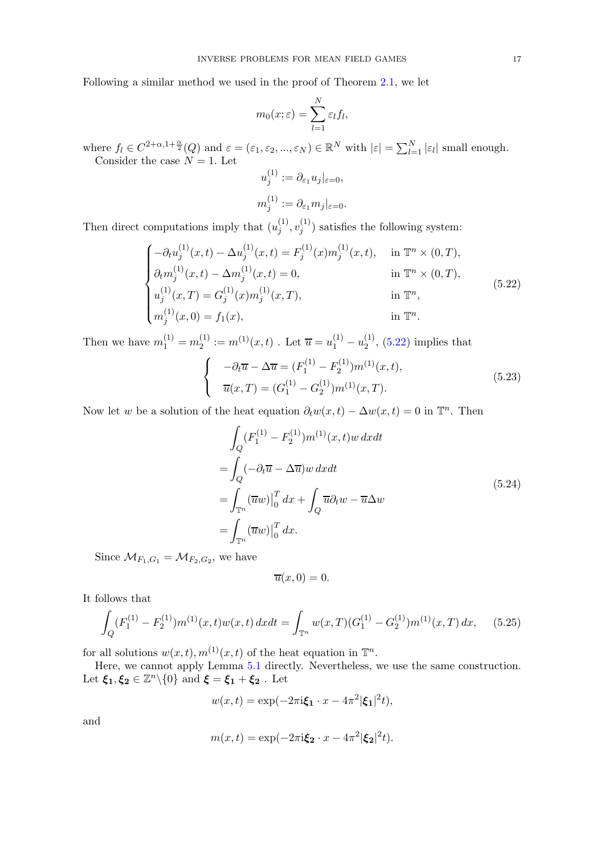Following a similar method we used in the proof of Theorem 2.[1,](#page-5-0) we let

$$
m_0(x;\varepsilon)=\sum_{l=1}^N\varepsilon_l f_l,
$$

where  $f_l \in C^{2+\alpha,1+\frac{\alpha}{2}}(Q)$  and  $\varepsilon = (\varepsilon_1, \varepsilon_2, ..., \varepsilon_N) \in \mathbb{R}^N$  with  $|\varepsilon| = \sum_{l=1}^N |\varepsilon_l|$  small enough. Consider the case  $N = 1$ . Let

$$
u_j^{(1)} := \partial_{\varepsilon_1} u_j|_{\varepsilon=0},
$$
  

$$
m_j^{(1)} := \partial_{\varepsilon_1} m_j|_{\varepsilon=0}.
$$

Then direct computations imply that  $(u_i^{(1)})$  $\overset{(1)}{j}, \overset{(1)}{v_j^{(1)}}$  $j^{(1)}$ ) satisfies the following system:

<span id="page-16-0"></span>
$$
\begin{cases}\n-\partial_t u_j^{(1)}(x,t) - \Delta u_j^{(1)}(x,t) = F_j^{(1)}(x) m_j^{(1)}(x,t), & \text{in } \mathbb{T}^n \times (0,T), \\
\partial_t m_j^{(1)}(x,t) - \Delta m_j^{(1)}(x,t) = 0, & \text{in } \mathbb{T}^n \times (0,T), \\
u_j^{(1)}(x,T) = G_j^{(1)}(x) m_j^{(1)}(x,T), & \text{in } \mathbb{T}^n, \\
m_j^{(1)}(x,0) = f_1(x), & \text{in } \mathbb{T}^n.\n\end{cases}
$$
\n(5.22)

Then we have  $m_1^{(1)} = m_2^{(1)}$  $u_2^{(1)} := m^{(1)}(x,t)$ . Let  $\overline{u} = u_1^{(1)} - u_2^{(1)}$  $2^{(1)}$ ,  $(5.22)$  implies that

$$
\begin{cases}\n-\partial_t \overline{u} - \Delta \overline{u} = (F_1^{(1)} - F_2^{(1)}) m^{(1)}(x, t), \\
\overline{u}(x, T) = (G_1^{(1)} - G_2^{(1)}) m^{(1)}(x, T).\n\end{cases} (5.23)
$$

Now let w be a solution of the heat equation  $\partial_t w(x,t) - \Delta w(x,t) = 0$  in  $\mathbb{T}^n$ . Then

$$
\int_{Q} (F_1^{(1)} - F_2^{(1)}) m^{(1)}(x, t) w \, dx dt
$$
\n
$$
= \int_{Q} (-\partial_t \overline{u} - \Delta \overline{u}) w \, dx dt
$$
\n
$$
= \int_{\mathbb{T}^n} (\overline{u}w)|_0^T dx + \int_{Q} \overline{u} \partial_t w - \overline{u} \Delta w
$$
\n
$$
= \int_{\mathbb{T}^n} (\overline{u}w)|_0^T dx.
$$
\n(5.24)

Since  $\mathcal{M}_{F_1,G_1} = \mathcal{M}_{F_2,G_2}$ , we have

$$
\overline{u}(x,0)=0.
$$

It follows that

<span id="page-16-1"></span>
$$
\int_{Q} (F_1^{(1)} - F_2^{(1)}) m^{(1)}(x, t) w(x, t) dx dt = \int_{\mathbb{T}^n} w(x, T) (G_1^{(1)} - G_2^{(1)}) m^{(1)}(x, T) dx, \quad (5.25)
$$

for all solutions  $w(x,t)$ ,  $m^{(1)}(x,t)$  of the heat equation in  $\mathbb{T}^n$ .

Here, we cannot apply Lemma [5](#page-15-3).1 directly. Nevertheless, we use the same construction. Let  $\xi_1, \xi_2 \in \mathbb{Z}^n \backslash \{0\}$  and  $\xi = \xi_1 + \xi_2$ . Let

$$
w(x,t) = \exp(-2\pi i \boldsymbol{\xi}_1 \cdot x - 4\pi^2 |\boldsymbol{\xi}_1|^2 t),
$$

and

$$
m(x,t) = \exp(-2\pi i \boldsymbol{\xi_2} \cdot x - 4\pi^2 |\boldsymbol{\xi_2}|^2 t).
$$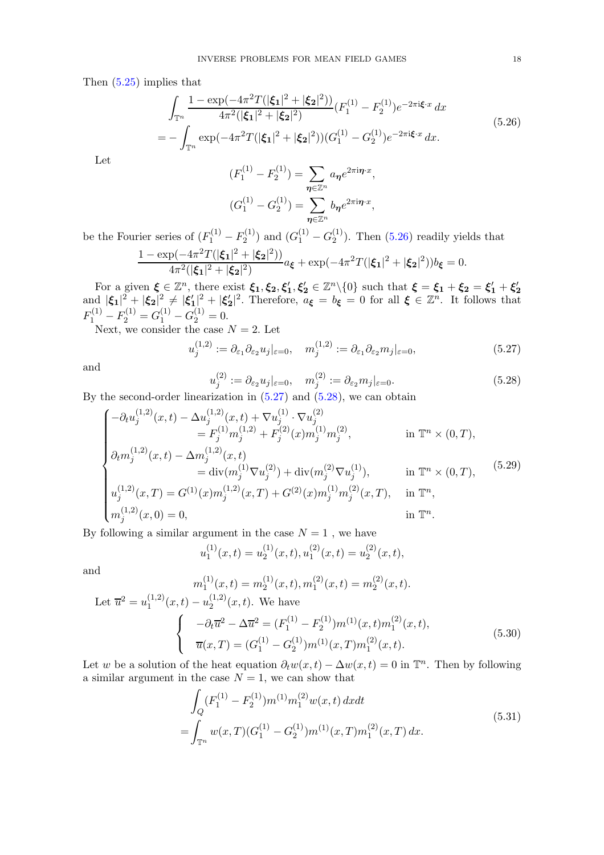Then [\(5.25\)](#page-16-1) implies that

<span id="page-17-0"></span>
$$
\int_{\mathbb{T}^n} \frac{1 - \exp(-4\pi^2 T(|\xi_1|^2 + |\xi_2|^2))}{4\pi^2(|\xi_1|^2 + |\xi_2|^2)} (F_1^{(1)} - F_2^{(1)})e^{-2\pi i\xi \cdot x} dx
$$
\n
$$
= -\int_{\mathbb{T}^n} \exp(-4\pi^2 T(|\xi_1|^2 + |\xi_2|^2)) (G_1^{(1)} - G_2^{(1)})e^{-2\pi i\xi \cdot x} dx.
$$
\n(5.26)

Let

$$
(F_1^{(1)} - F_2^{(1)}) = \sum_{\eta \in \mathbb{Z}^n} a_{\eta} e^{2\pi i \eta \cdot x},
$$

$$
(G_1^{(1)} - G_2^{(1)}) = \sum_{\eta \in \mathbb{Z}^n} b_{\eta} e^{2\pi i \eta \cdot x},
$$

be the Fourier series of  $(F_1^{(1)} - F_2^{(1)}$  $C_2^{(1)}$ ) and  $(G_1^{(1)} - G_2^{(1)})$  $2^{(1)}$ ). Then  $(5.26)$  readily yields that

$$
\frac{1 - \exp(-4\pi^2 T(|\xi_1|^2 + |\xi_2|^2))}{4\pi^2(|\xi_1|^2 + |\xi_2|^2)} a_{\xi} + \exp(-4\pi^2 T(|\xi_1|^2 + |\xi_2|^2)) b_{\xi} = 0.
$$

For a given  $\xi \in \mathbb{Z}^n$ , there exist  $\xi_1, \xi_2, \xi'_1, \xi'_2 \in \mathbb{Z}^n \setminus \{0\}$  such that  $\xi = \xi_1 + \xi_2 = \xi'_1 + \xi'_2$ and  $|\xi_1|^2 + |\xi_2|^2 \neq |\xi_1|^2 + |\xi_2'|^2$ . Therefore,  $a_{\xi} = b_{\xi} = 0$  for all  $\xi \in \mathbb{Z}^n$ . It follows that  $F_1^{(1)} - F_2^{(1)} = G_1^{(1)} - G_2^{(1)} = 0.$ 

Next, we consider the case  $N = 2$ . Let

<span id="page-17-1"></span>
$$
u_j^{(1,2)} := \partial_{\varepsilon_1} \partial_{\varepsilon_2} u_j|_{\varepsilon = 0}, \quad m_j^{(1,2)} := \partial_{\varepsilon_1} \partial_{\varepsilon_2} m_j|_{\varepsilon = 0}, \tag{5.27}
$$

and

<span id="page-17-2"></span>
$$
u_j^{(2)} := \partial_{\varepsilon_2} u_j|_{\varepsilon = 0}, \quad m_j^{(2)} := \partial_{\varepsilon_2} m_j|_{\varepsilon = 0}.
$$
\n(5.28)

By the second-order linearization in  $(5.27)$  and  $(5.28)$ , we can obtain

$$
\begin{cases}\n-\partial_t u_j^{(1,2)}(x,t) - \Delta u_j^{(1,2)}(x,t) + \nabla u_j^{(1)} \cdot \nabla u_j^{(2)} \\
= F_j^{(1)} m_j^{(1,2)} + F_j^{(2)}(x) m_j^{(1)} m_j^{(2)}, & \text{in } \mathbb{T}^n \times (0,T), \\
\partial_t m_j^{(1,2)}(x,t) - \Delta m_j^{(1,2)}(x,t) \\
= \text{div}(m_j^{(1)} \nabla u_j^{(2)}) + \text{div}(m_j^{(2)} \nabla u_j^{(1)}), & \text{in } \mathbb{T}^n \times (0,T), \\
u_j^{(1,2)}(x,T) = G^{(1)}(x) m_j^{(1,2)}(x,T) + G^{(2)}(x) m_j^{(1)} m_j^{(2)}(x,T), & \text{in } \mathbb{T}^n, \\
m_j^{(1,2)}(x,0) = 0, & \text{in } \mathbb{T}^n.\n\end{cases}
$$
\n(5.29)

By following a similar argument in the case  $N = 1$ , we have

$$
u_1^{(1)}(x,t) = u_2^{(1)}(x,t), u_1^{(2)}(x,t) = u_2^{(2)}(x,t),
$$

and

$$
m_1^{(1)}(x,t) = m_2^{(1)}(x,t), m_1^{(2)}(x,t) = m_2^{(2)}(x,t).
$$
  
Let  $\overline{u}^2 = u_1^{(1,2)}(x,t) - u_2^{(1,2)}(x,t)$ . We have  

$$
\begin{cases}\n-\partial_t \overline{u}^2 - \Delta \overline{u}^2 = (F_1^{(1)} - F_2^{(1)})m^{(1)}(x,t)m_1^{(2)}(x,t), \\
\overline{u}(x,T) = (G_1^{(1)} - G_2^{(1)})m^{(1)}(x,T)m_1^{(2)}(x,t).\n\end{cases}
$$
(5.30)

<span id="page-17-3"></span>Let w be a solution of the heat equation  $\partial_t w(x,t) - \Delta w(x,t) = 0$  in  $\mathbb{T}^n$ . Then by following a similar argument in the case  $N = 1$ , we can show that

$$
\int_{Q} (F_1^{(1)} - F_2^{(1)}) m^{(1)} m_1^{(2)} w(x, t) dx dt
$$
\n
$$
= \int_{\mathbb{T}^n} w(x, T) (G_1^{(1)} - G_2^{(1)}) m^{(1)}(x, T) m_1^{(2)}(x, T) dx.
$$
\n(5.31)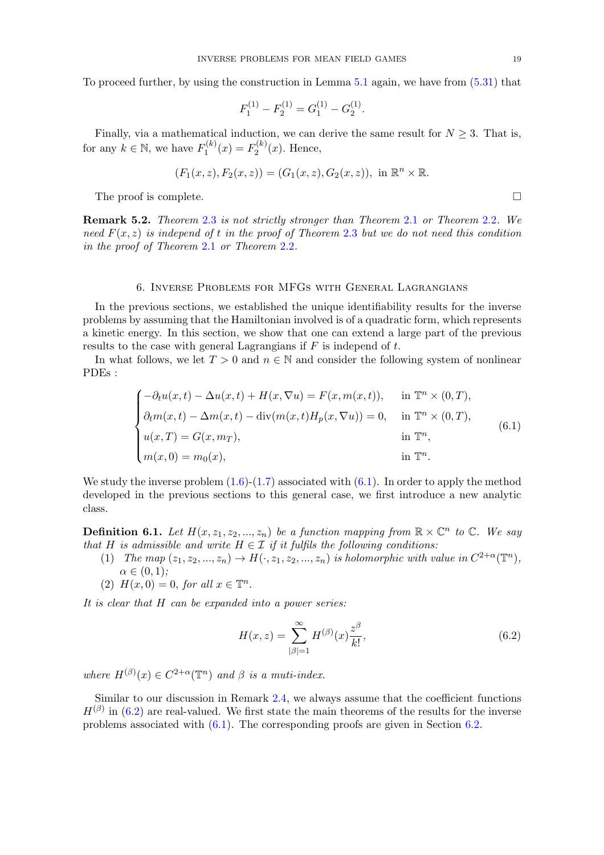To proceed further, by using the construction in Lemma [5](#page-15-3).1 again, we have from [\(5.31\)](#page-17-3) that

$$
F_1^{(1)} - F_2^{(1)} = G_1^{(1)} - G_2^{(1)}.
$$

Finally, via a mathematical induction, we can derive the same result for  $N \geq 3$ . That is, for any  $k \in \mathbb{N}$ , we have  $F_1^{(k)}$  $T_1^{(k)}(x) = F_2^{(k)}$  $2^{(k)}(x)$ . Hence,

$$
(F_1(x, z), F_2(x, z)) = (G_1(x, z), G_2(x, z)), \text{ in } \mathbb{R}^n \times \mathbb{R}.
$$

The proof is complete.

Remark 5.2. Theorem [2](#page-6-1).3 is not strictly stronger than Theorem [2](#page-5-0).1 or Theorem [2](#page-5-1).2. We need  $F(x, z)$  is independ of t in the proof of Theorem [2](#page-6-1).3 but we do not need this condition in the proof of Theorem [2](#page-5-0).1 or Theorem [2](#page-5-1).2.

#### 6. Inverse Problems for MFGs with General Lagrangians

<span id="page-18-0"></span>In the previous sections, we established the unique identifiability results for the inverse problems by assuming that the Hamiltonian involved is of a quadratic form, which represents a kinetic energy. In this section, we show that one can extend a large part of the previous results to the case with general Lagrangians if  $F$  is independ of  $t$ .

In what follows, we let  $T > 0$  and  $n \in \mathbb{N}$  and consider the following system of nonlinear PDEs :

<span id="page-18-1"></span>
$$
\begin{cases}\n-\partial_t u(x,t) - \Delta u(x,t) + H(x,\nabla u) = F(x,m(x,t)), & \text{in } \mathbb{T}^n \times (0,T), \\
\partial_t m(x,t) - \Delta m(x,t) - \text{div}(m(x,t)H_p(x,\nabla u)) = 0, & \text{in } \mathbb{T}^n \times (0,T), \\
u(x,T) = G(x,m_T), & \text{in } \mathbb{T}^n, \\
m(x,0) = m_0(x), & \text{in } \mathbb{T}^n.\n\end{cases}
$$
\n(6.1)

We study the inverse problem  $(1.6)-(1.7)$  $(1.6)-(1.7)$  associated with  $(6.1)$ . In order to apply the method developed in the previous sections to this general case, we first introduce a new analytic class.

**Definition 6.1.** Let  $H(x, z_1, z_2, ..., z_n)$  be a function mapping from  $\mathbb{R} \times \mathbb{C}^n$  to  $\mathbb{C}$ . We say that H is admissible and write  $H \in \mathcal{I}$  if it fulfils the following conditions:

- (1) The map  $(z_1, z_2, ..., z_n) \rightarrow H(\cdot, z_1, z_2, ..., z_n)$  is holomorphic with value in  $C^{2+\alpha}(\mathbb{T}^n)$ ,  $\alpha \in (0,1);$
- (2)  $H(x,0) = 0$ , for all  $x \in \mathbb{T}^n$ .

It is clear that H can be expanded into a power series:

<span id="page-18-2"></span>
$$
H(x,z) = \sum_{|\beta|=1}^{\infty} H^{(\beta)}(x) \frac{z^{\beta}}{k!},
$$
\n(6.2)

where  $H^{(\beta)}(x) \in C^{2+\alpha}(\mathbb{T}^n)$  and  $\beta$  is a muti-index.

Similar to our discussion in Remark [2.4,](#page-5-4) we always assume that the coefficient functions  $H^{(\beta)}$  in [\(6.2\)](#page-18-2) are real-valued. We first state the main theorems of the results for the inverse problems associated with [\(6.1\)](#page-18-1). The corresponding proofs are given in Section 6.[2.](#page-20-0)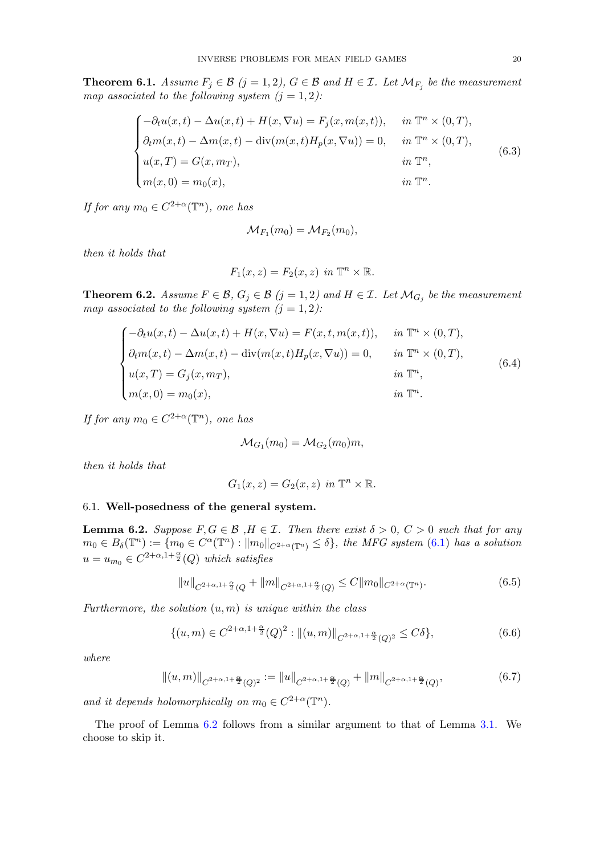<span id="page-19-1"></span>**Theorem 6.1.** Assume  $F_j \in \mathcal{B}$   $(j = 1, 2)$ ,  $G \in \mathcal{B}$  and  $H \in \mathcal{I}$ . Let  $\mathcal{M}_{F_j}$  be the measurement map associated to the following system  $(j = 1, 2)$ :

$$
\begin{cases}\n-\partial_t u(x,t) - \Delta u(x,t) + H(x,\nabla u) = F_j(x, m(x,t)), & \text{in } \mathbb{T}^n \times (0,T), \\
\partial_t m(x,t) - \Delta m(x,t) - \text{div}(m(x,t)H_p(x,\nabla u)) = 0, & \text{in } \mathbb{T}^n \times (0,T), \\
u(x,T) = G(x,m_T), & \text{in } \mathbb{T}^n, \\
m(x,0) = m_0(x), & \text{in } \mathbb{T}^n.\n\end{cases}
$$
\n(6.3)

If for any  $m_0 \in C^{2+\alpha}(\mathbb{T}^n)$ , one has

$$
\mathcal{M}_{F_1}(m_0) = \mathcal{M}_{F_2}(m_0),
$$

then it holds that

$$
F_1(x, z) = F_2(x, z) \text{ in } \mathbb{T}^n \times \mathbb{R}.
$$

<span id="page-19-2"></span>**Theorem 6.2.** Assume  $F \in \mathcal{B}$ ,  $G_j \in \mathcal{B}$   $(j = 1, 2)$  and  $H \in \mathcal{I}$ . Let  $\mathcal{M}_{G_j}$  be the measurement map associated to the following system  $(j = 1, 2)$ :

$$
\begin{cases}\n-\partial_t u(x,t) - \Delta u(x,t) + H(x,\nabla u) = F(x,t,m(x,t)), & \text{in } \mathbb{T}^n \times (0,T), \\
\partial_t m(x,t) - \Delta m(x,t) - \text{div}(m(x,t)H_p(x,\nabla u)) = 0, & \text{in } \mathbb{T}^n \times (0,T), \\
u(x,T) = G_j(x,m_T), & \text{in } \mathbb{T}^n, \\
m(x,0) = m_0(x), & \text{in } \mathbb{T}^n.\n\end{cases}
$$
\n(6.4)

If for any  $m_0 \in C^{2+\alpha}(\mathbb{T}^n)$ , one has

$$
\mathcal{M}_{G_1}(m_0) = \mathcal{M}_{G_2}(m_0)m,
$$

then it holds that

$$
G_1(x, z) = G_2(x, z) \text{ in } \mathbb{T}^n \times \mathbb{R}.
$$

# <span id="page-19-0"></span>6.1. Well-posedness of the general system.

<span id="page-19-3"></span>**Lemma 6.2.** Suppose  $F, G \in \mathcal{B}$ ,  $H \in \mathcal{I}$ . Then there exist  $\delta > 0$ ,  $C > 0$  such that for any  $m_0 \in B_\delta(\mathbb{T}^n) := \{m_0 \in C^\alpha(\mathbb{T}^n) : ||m_0||_{C^{2+\alpha}(\mathbb{T}^n)} \leq \delta\},\$  the MFG system [\(6.1\)](#page-18-1) has a solution  $u = u_{m_0} \in C^{2+\alpha, 1+\frac{\alpha}{2}}(Q)$  which satisfies

$$
||u||_{C^{2+\alpha,1+\frac{\alpha}{2}}(Q)} + ||m||_{C^{2+\alpha,1+\frac{\alpha}{2}}(Q)} \leq C ||m_0||_{C^{2+\alpha}(\mathbb{T}^n)}.
$$
\n(6.5)

Furthermore, the solution  $(u, m)$  is unique within the class

$$
\{(u,m)\in C^{2+\alpha,1+\frac{\alpha}{2}}(Q)^2:||(u,m)||_{C^{2+\alpha,1+\frac{\alpha}{2}}(Q)^2}\leq C\delta\},\tag{6.6}
$$

where

$$
||(u,m)||_{C^{2+\alpha,1+\frac{\alpha}{2}}(Q)^2} := ||u||_{C^{2+\alpha,1+\frac{\alpha}{2}}(Q)} + ||m||_{C^{2+\alpha,1+\frac{\alpha}{2}}(Q)},
$$
\n(6.7)

and it depends holomorphically on  $m_0 \in C^{2+\alpha}(\mathbb{T}^n)$ .

The proof of Lemma [6](#page-19-3).2 follows from a similar argument to that of Lemma 3.[1.](#page-6-4) We choose to skip it.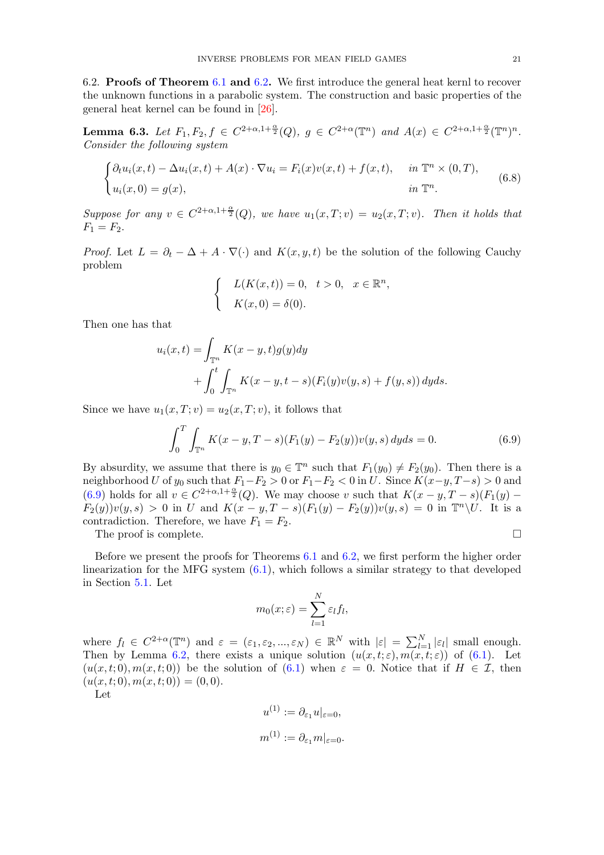<span id="page-20-0"></span>6.2. Proofs of Theorem [6](#page-19-1).1 and 6.[2](#page-19-2). We first introduce the general heat kernl to recover the unknown functions in a parabolic system. The construction and basic properties of the general heat kernel can be found in [\[26\]](#page-25-18).

<span id="page-20-2"></span>**Lemma 6.3.** Let  $F_1, F_2, f \in C^{2+\alpha, 1+\frac{\alpha}{2}}(Q), g \in C^{2+\alpha}(\mathbb{T}^n)$  and  $A(x) \in C^{2+\alpha, 1+\frac{\alpha}{2}}(\mathbb{T}^n)^n$ . Consider the following system

$$
\begin{cases} \partial_t u_i(x,t) - \Delta u_i(x,t) + A(x) \cdot \nabla u_i = F_i(x)v(x,t) + f(x,t), & \text{in } \mathbb{T}^n \times (0,T), \\ u_i(x,0) = g(x), & \text{in } \mathbb{T}^n. \end{cases}
$$
 (6.8)

Suppose for any  $v \in C^{2+\alpha,1+\frac{\alpha}{2}}(Q)$ , we have  $u_1(x,T;v) = u_2(x,T;v)$ . Then it holds that  $F_1 = F_2.$ 

*Proof.* Let  $L = \partial_t - \Delta + A \cdot \nabla(\cdot)$  and  $K(x, y, t)$  be the solution of the following Cauchy problem

$$
\begin{cases}\nL(K(x,t)) = 0, & t > 0, \quad x \in \mathbb{R}^n, \\
K(x,0) = \delta(0).\n\end{cases}
$$

Then one has that

$$
u_i(x,t) = \int_{\mathbb{T}^n} K(x - y, t)g(y)dy + \int_0^t \int_{\mathbb{T}^n} K(x - y, t - s) (F_i(y)v(y, s) + f(y, s)) dyds.
$$

Since we have  $u_1(x,T; v) = u_2(x,T; v)$ , it follows that

<span id="page-20-1"></span>
$$
\int_0^T \int_{\mathbb{T}^n} K(x - y, T - s)(F_1(y) - F_2(y))v(y, s) \, dyds = 0. \tag{6.9}
$$

By absurdity, we assume that there is  $y_0 \in \mathbb{T}^n$  such that  $F_1(y_0) \neq F_2(y_0)$ . Then there is a neighborhood U of  $y_0$  such that  $F_1-F_2 > 0$  or  $F_1-F_2 < 0$  in U. Since  $K(x-y, T-s) > 0$  and [\(6.9\)](#page-20-1) holds for all  $v \in C^{2+\alpha,1+\frac{\alpha}{2}}(Q)$ . We may choose v such that  $K(x-y,T-s)(F_1(y) F_2(y)v(y, s) > 0$  in U and  $K(x - y, T - s)(F_1(y) - F_2(y))v(y, s) = 0$  in  $\mathbb{T}^n \setminus U$ . It is a contradiction. Therefore, we have  $F_1 = F_2$ .

The proof is complete.

Before we present the proofs for Theorems [6](#page-19-1).1 and 6.[2,](#page-19-2) we first perform the higher order linearization for the MFG system [\(6.1\)](#page-18-1), which follows a similar strategy to that developed in Section 5.[1.](#page-10-1) Let

$$
m_0(x;\varepsilon)=\sum_{l=1}^N\varepsilon_l f_l,
$$

where  $f_l \in C^{2+\alpha}(\mathbb{T}^n)$  and  $\varepsilon = (\varepsilon_1, \varepsilon_2, ..., \varepsilon_N) \in \mathbb{R}^N$  with  $|\varepsilon| = \sum_{l=1}^N |\varepsilon_l|$  small enough. Then by Lemma 6.[2,](#page-19-3) there exists a unique solution  $(u(x,t;\varepsilon), m(x,t;\varepsilon))$  of  $(6.1)$ . Let  $(u(x, t; 0), m(x, t; 0))$  be the solution of  $(6.1)$  when  $\varepsilon = 0$ . Notice that if  $H \in \mathcal{I}$ , then  $(u(x, t; 0), m(x, t; 0)) = (0, 0).$ 

Let

$$
u^{(1)} := \partial_{\varepsilon_1} u|_{\varepsilon=0},
$$
  

$$
m^{(1)} := \partial_{\varepsilon_1} m|_{\varepsilon=0}.
$$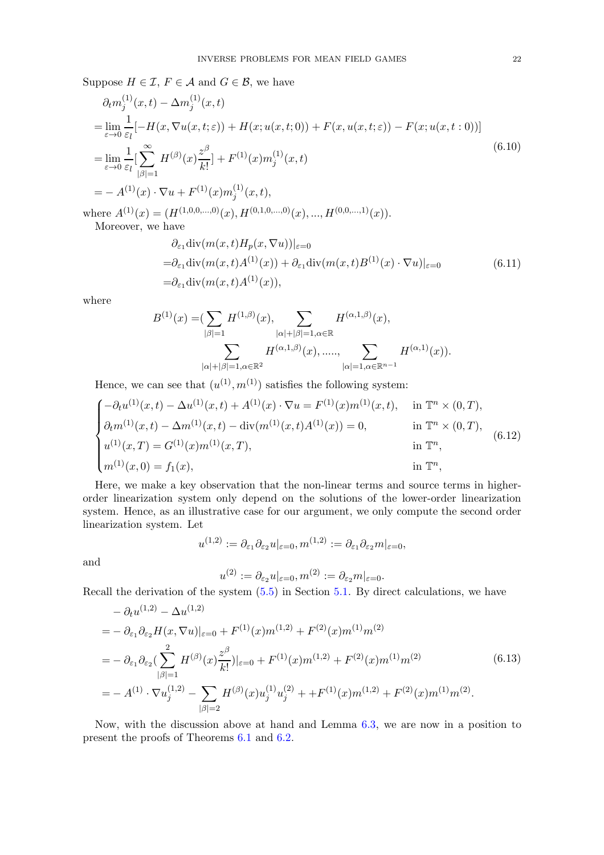Suppose  $H \in \mathcal{I}$ ,  $F \in \mathcal{A}$  and  $G \in \mathcal{B}$ , we have

<span id="page-21-0"></span>
$$
\partial_t m_j^{(1)}(x,t) - \Delta m_j^{(1)}(x,t) \n= \lim_{\varepsilon \to 0} \frac{1}{\varepsilon_l} [-H(x, \nabla u(x,t;\varepsilon)) + H(x; u(x,t;0)) + F(x, u(x,t;\varepsilon)) - F(x; u(x,t:0))]
$$
\n
$$
= \lim_{\varepsilon \to 0} \frac{1}{\varepsilon_l} [\sum_{|\beta|=1}^{\infty} H^{(\beta)}(x) \frac{z^{\beta}}{k!}] + F^{(1)}(x) m_j^{(1)}(x,t)
$$
\n
$$
= - A^{(1)}(x) \cdot \nabla u + F^{(1)}(x) m_j^{(1)}(x,t),
$$
\n(6.10)

where  $A^{(1)}(x) = (H^{(1,0,0,...,0)}(x), H^{(0,1,0,...,0)}(x), ..., H^{(0,0,...,1)}(x)).$ Moreover, we have

<span id="page-21-1"></span>
$$
\partial_{\varepsilon_1} \text{div}(m(x,t)H_p(x,\nabla u))|_{\varepsilon=0}
$$
  
=  $\partial_{\varepsilon_1} \text{div}(m(x,t)A^{(1)}(x)) + \partial_{\varepsilon_1} \text{div}(m(x,t)B^{(1)}(x)\cdot \nabla u)|_{\varepsilon=0}$  (6.11)  
=  $\partial_{\varepsilon_1} \text{div}(m(x,t)A^{(1)}(x)),$ 

where

$$
B^{(1)}(x) = \left(\sum_{|\beta|=1} H^{(1,\beta)}(x), \sum_{|\alpha|+|\beta|=1, \alpha \in \mathbb{R}} H^{(\alpha,1,\beta)}(x),\right)
$$

$$
\sum_{|\alpha|+|\beta|=1, \alpha \in \mathbb{R}^2} H^{(\alpha,1,\beta)}(x), \dots, \sum_{|\alpha|=1, \alpha \in \mathbb{R}^{n-1}} H^{(\alpha,1)}(x)).
$$

Hence, we can see that  $(u^{(1)}, m^{(1)})$  satisfies the following system:

<span id="page-21-2"></span>
$$
\begin{cases}\n-\partial_t u^{(1)}(x,t) - \Delta u^{(1)}(x,t) + A^{(1)}(x) \cdot \nabla u = F^{(1)}(x) m^{(1)}(x,t), & \text{in } \mathbb{T}^n \times (0,T), \\
\partial_t m^{(1)}(x,t) - \Delta m^{(1)}(x,t) - \text{div}(m^{(1)}(x,t)A^{(1)}(x)) = 0, & \text{in } \mathbb{T}^n \times (0,T), \\
u^{(1)}(x,T) = G^{(1)}(x) m^{(1)}(x,T), & \text{in } \mathbb{T}^n, \\
m^{(1)}(x,0) = f_1(x), & \text{in } \mathbb{T}^n,\n\end{cases}
$$
\n(6.12)

Here, we make a key observation that the non-linear terms and source terms in higherorder linearization system only depend on the solutions of the lower-order linearization system. Hence, as an illustrative case for our argument, we only compute the second order linearization system. Let

$$
u^{(1,2)} := \partial_{\varepsilon_1} \partial_{\varepsilon_2} u|_{\varepsilon=0}, m^{(1,2)} := \partial_{\varepsilon_1} \partial_{\varepsilon_2} m|_{\varepsilon=0},
$$

and

$$
u^{(2)} := \partial_{\varepsilon_2} u|_{\varepsilon=0}, m^{(2)} := \partial_{\varepsilon_2} m|_{\varepsilon=0}.
$$

Recall the derivation of the system [\(5.5\)](#page-11-4) in Section 5.[1.](#page-10-1) By direct calculations, we have

<span id="page-21-3"></span>
$$
- \partial_t u^{(1,2)} - \Delta u^{(1,2)} = - \partial_{\varepsilon_1} \partial_{\varepsilon_2} H(x, \nabla u)|_{\varepsilon=0} + F^{(1)}(x) m^{(1,2)} + F^{(2)}(x) m^{(1)} m^{(2)} = - \partial_{\varepsilon_1} \partial_{\varepsilon_2} \left( \sum_{|\beta|=1}^2 H^{(\beta)}(x) \frac{z^{\beta}}{k!} \right)|_{\varepsilon=0} + F^{(1)}(x) m^{(1,2)} + F^{(2)}(x) m^{(1)} m^{(2)} = - A^{(1)} \cdot \nabla u_j^{(1,2)} - \sum_{|\beta|=2} H^{(\beta)}(x) u_j^{(1)} u_j^{(2)} + + F^{(1)}(x) m^{(1,2)} + F^{(2)}(x) m^{(1)} m^{(2)}.
$$
(6.13)

Now, with the discussion above at hand and Lemma 6.[3,](#page-20-2) we are now in a position to present the proofs of Theorems [6](#page-19-1).1 and [6](#page-19-2).2.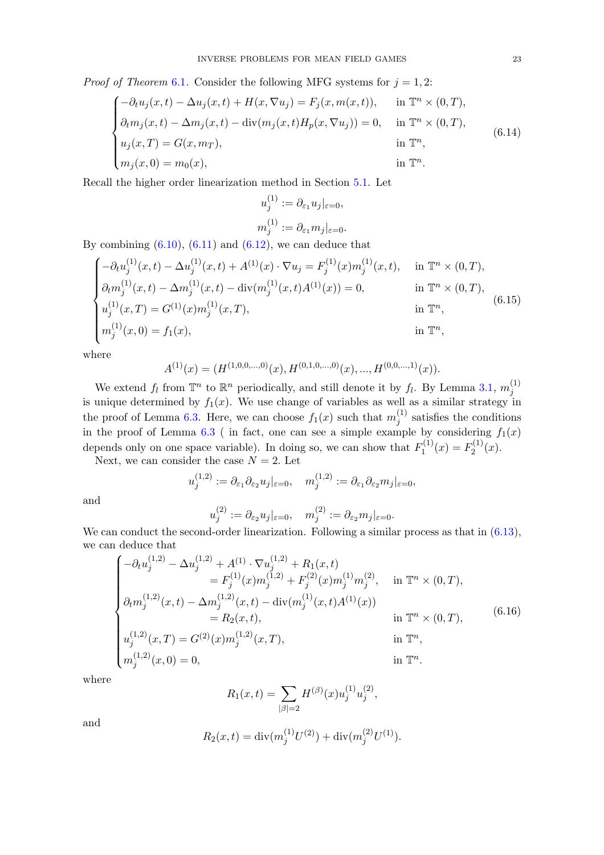*Proof of Theorem* [6](#page-19-1).1. Consider the following MFG systems for  $j = 1, 2$ :

$$
\begin{cases}\n-\partial_t u_j(x,t) - \Delta u_j(x,t) + H(x, \nabla u_j) = F_j(x, m(x,t)), & \text{in } \mathbb{T}^n \times (0,T), \\
\partial_t m_j(x,t) - \Delta m_j(x,t) - \text{div}(m_j(x,t)H_p(x, \nabla u_j)) = 0, & \text{in } \mathbb{T}^n \times (0,T), \\
u_j(x,T) = G(x, m_T), & \text{in } \mathbb{T}^n, \\
m_j(x,0) = m_0(x), & \text{in } \mathbb{T}^n.\n\end{cases}
$$
\n(6.14)

Recall the higher order linearization method in Section 5.[1.](#page-10-1) Let

$$
u_j^{(1)} := \partial_{\varepsilon_1} u_j|_{\varepsilon=0},
$$
  

$$
m_j^{(1)} := \partial_{\varepsilon_1} m_j|_{\varepsilon=0}.
$$

By combining  $(6.10)$ ,  $(6.11)$  and  $(6.12)$ , we can deduce that

$$
\begin{cases}\n-\partial_t u_j^{(1)}(x,t) - \Delta u_j^{(1)}(x,t) + A^{(1)}(x) \cdot \nabla u_j = F_j^{(1)}(x) m_j^{(1)}(x,t), & \text{in } \mathbb{T}^n \times (0,T), \\
\partial_t m_j^{(1)}(x,t) - \Delta m_j^{(1)}(x,t) - \text{div}(m_j^{(1)}(x,t)A^{(1)}(x)) = 0, & \text{in } \mathbb{T}^n \times (0,T), \\
u_j^{(1)}(x,T) = G^{(1)}(x) m_j^{(1)}(x,T), & \text{in } \mathbb{T}^n, \\
m_j^{(1)}(x,0) = f_1(x), & \text{in } \mathbb{T}^n, \\
\end{cases}
$$
\n(6.15)

where

$$
A^{(1)}(x) = (H^{(1,0,0,\ldots,0)}(x), H^{(0,1,0,\ldots,0)}(x), \ldots, H^{(0,0,\ldots,1)}(x)).
$$

We extend  $f_l$  from  $\mathbb{T}^n$  to  $\mathbb{R}^n$  periodically, and still denote it by  $f_l$ . By Lemma 3.[1,](#page-6-3)  $m_j^{(1)}$ j is unique determined by  $f_1(x)$ . We use change of variables as well as a similar strategy in the proof of Lemma 6.[3.](#page-20-2) Here, we can choose  $f_1(x)$  such that  $m_i^{(1)}$  $j_j^{(1)}$  satisfies the conditions in the proof of Lemma [6](#page-20-2).3 (in fact, one can see a simple example by considering  $f_1(x)$ depends only on one space variable). In doing so, we can show that  $F_1^{(1)}$  $T_1^{(1)}(x) = F_2^{(1)}$  $2^{(1)}(x).$ 

Next, we can consider the case  $N = 2$ . Let

<sup>2</sup>

$$
u_j^{(1,2)} := \partial_{\varepsilon_1} \partial_{\varepsilon_2} u_j|_{\varepsilon=0}, \quad m_j^{(1,2)} := \partial_{\varepsilon_1} \partial_{\varepsilon_2} u_j|_{\varepsilon=0},
$$

and

$$
u_j^{(2)} := \partial_{\varepsilon_2} u_j|_{\varepsilon=0}, \quad m_j^{(2)} := \partial_{\varepsilon_2} m_j|_{\varepsilon=0}.
$$

We can conduct the second-order linearization. Following a similar process as that in  $(6.13)$ , we can deduce that

$$
\begin{cases}\n-\partial_t u_j^{(1,2)} - \Delta u_j^{(1,2)} + A^{(1)} \cdot \nabla u_j^{(1,2)} + R_1(x,t) \\
= F_j^{(1)}(x) m_j^{(1,2)} + F_j^{(2)}(x) m_j^{(1)} m_j^{(2)}, & \text{in } \mathbb{T}^n \times (0,T), \\
\partial_t m_j^{(1,2)}(x,t) - \Delta m_j^{(1,2)}(x,t) - \text{div}(m_j^{(1)}(x,t)A^{(1)}(x)) \\
= R_2(x,t), & \text{in } \mathbb{T}^n \times (0,T), \\
u_j^{(1,2)}(x,T) = G^{(2)}(x) m_j^{(1,2)}(x,T), & \text{in } \mathbb{T}^n, \\
m_j^{(1,2)}(x,0) = 0, & \text{in } \mathbb{T}^n.\n\end{cases}
$$
\n(6.16)

where

$$
R_1(x,t) = \sum_{|\beta|=2} H^{(\beta)}(x) u_j^{(1)} u_j^{(2)},
$$

and

$$
R_2(x,t) = \text{div}(m_j^{(1)}U^{(2)}) + \text{div}(m_j^{(2)}U^{(1)}).
$$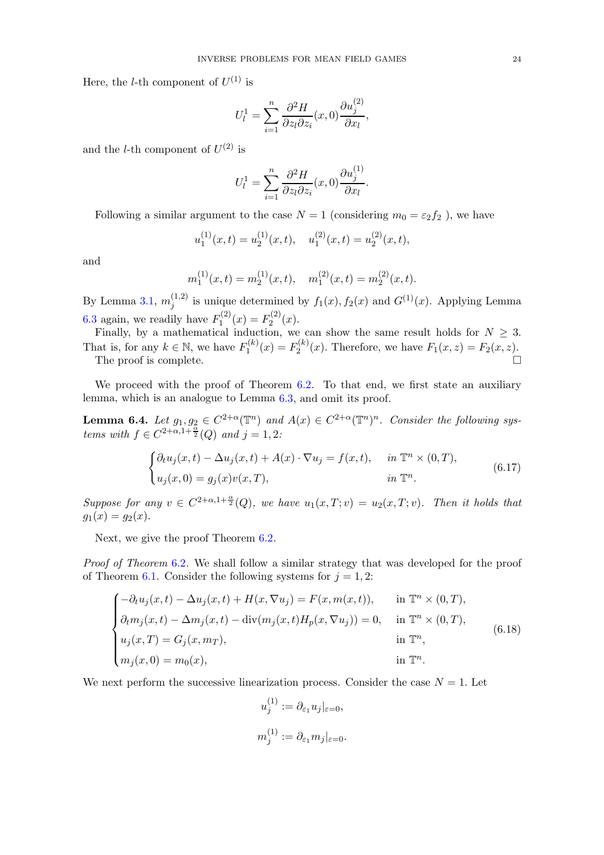Here, the *l*-th component of  $U^{(1)}$  is

$$
U_l^1 = \sum_{i=1}^n \frac{\partial^2 H}{\partial z_l \partial z_i}(x,0) \frac{\partial u_j^{(2)}}{\partial x_l},
$$

and the *l*-th component of  $U^{(2)}$  is

$$
U_l^1 = \sum_{i=1}^n \frac{\partial^2 H}{\partial z_l \partial z_i}(x,0) \frac{\partial u_j^{(1)}}{\partial x_l}.
$$

Following a similar argument to the case  $N = 1$  (considering  $m_0 = \varepsilon_2 f_2$ ), we have

$$
u_1^{(1)}(x,t) = u_2^{(1)}(x,t), \quad u_1^{(2)}(x,t) = u_2^{(2)}(x,t),
$$

and

$$
m_1^{(1)}(x,t) = m_2^{(1)}(x,t), \quad m_1^{(2)}(x,t) = m_2^{(2)}(x,t).
$$

By Lemma 3.[1,](#page-6-3)  $m_i^{(1,2)}$  $j_j^{(1,2)}$  is unique determined by  $f_1(x), f_2(x)$  and  $G^{(1)}(x)$ . Applying Lemma [6](#page-20-2).3 again, we readily have  $F_1^{(2)}$  $T_1^{(2)}(x) = F_2^{(2)}$  $2^{(2)}(x).$ 

Finally, by a mathematical induction, we can show the same result holds for  $N \geq 3$ . That is, for any  $k \in \mathbb{N}$ , we have  $F_1^{(k)}$  $T_1^{(k)}(x) = F_2^{(k)}$  $P_2^{(k)}(x)$ . Therefore, we have  $F_1(x, z) = F_2(x, z)$ . The proof is complete.  $\Box$ 

We proceed with the proof of Theorem 6.[2.](#page-19-2) To that end, we first state an auxiliary lemma, which is an analogue to Lemma 6.[3,](#page-20-2) and omit its proof.

<span id="page-23-0"></span>**Lemma 6.4.** Let  $g_1, g_2 \in C^{2+\alpha}(\mathbb{T}^n)$  and  $A(x) \in C^{2+\alpha}(\mathbb{T}^n)^n$ . Consider the following systems with  $f \in C^{2+\alpha, 1+\frac{\alpha}{2}}(Q)$  and  $j = 1, 2$ :

$$
\begin{cases} \partial_t u_j(x,t) - \Delta u_j(x,t) + A(x) \cdot \nabla u_j = f(x,t), & \text{in } \mathbb{T}^n \times (0,T), \\ u_j(x,0) = g_j(x)v(x,T), & \text{in } \mathbb{T}^n. \end{cases}
$$
 (6.17)

Suppose for any  $v \in C^{2+\alpha,1+\frac{\alpha}{2}}(Q)$ , we have  $u_1(x,T;v) = u_2(x,T;v)$ . Then it holds that  $g_1(x) = g_2(x)$ .

Next, we give the proof Theorem 6.[2](#page-19-2).

Proof of Theorem [6](#page-19-2).2. We shall follow a similar strategy that was developed for the proof of Theorem 6.[1.](#page-19-1) Consider the following systems for  $j = 1, 2$ :

$$
\begin{cases}\n-\partial_t u_j(x,t) - \Delta u_j(x,t) + H(x, \nabla u_j) = F(x, m(x,t)), & \text{in } \mathbb{T}^n \times (0,T), \\
\partial_t m_j(x,t) - \Delta m_j(x,t) - \text{div}(m_j(x,t)H_p(x, \nabla u_j)) = 0, & \text{in } \mathbb{T}^n \times (0,T), \\
u_j(x,T) = G_j(x,m_T), & \text{in } \mathbb{T}^n, \\
m_j(x,0) = m_0(x), & \text{in } \mathbb{T}^n.\n\end{cases}
$$
\n(6.18)

We next perform the successive linearization process. Consider the case  $N = 1$ . Let

 $\lambda$ 

$$
u_j^{(1)} := \partial_{\varepsilon_1} u_j|_{\varepsilon = 0},
$$
  

$$
m_j^{(1)} := \partial_{\varepsilon_1} m_j|_{\varepsilon = 0}.
$$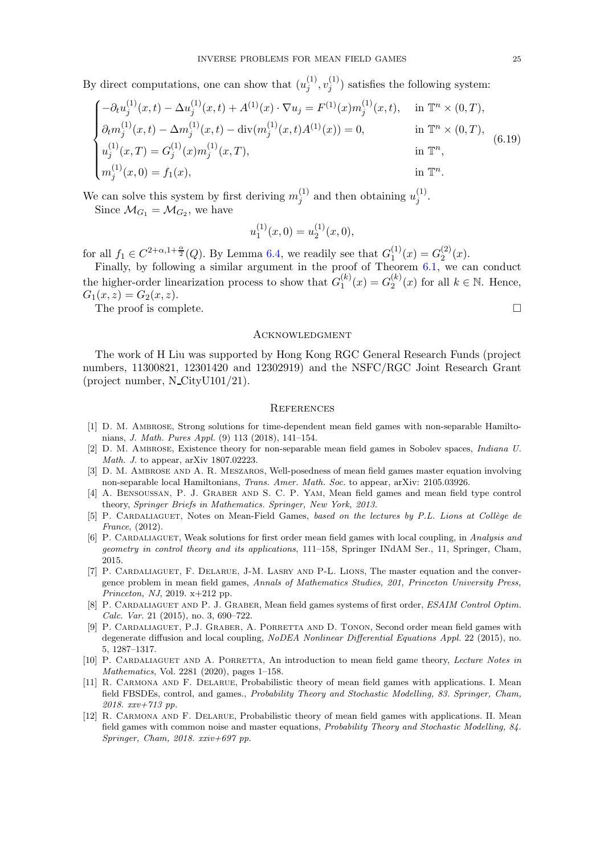By direct computations, one can show that  $(u_i^{(1)})$  $\overset{(1)}{j}, \overset{(1)}{v_j^{(1)}}$  $j^{(1)}$ ) satisfies the following system:

$$
\begin{cases}\n-\partial_t u_j^{(1)}(x,t) - \Delta u_j^{(1)}(x,t) + A^{(1)}(x) \cdot \nabla u_j = F^{(1)}(x) m_j^{(1)}(x,t), & \text{in } \mathbb{T}^n \times (0,T), \\
\partial_t m_j^{(1)}(x,t) - \Delta m_j^{(1)}(x,t) - \text{div}(m_j^{(1)}(x,t)A^{(1)}(x)) = 0, & \text{in } \mathbb{T}^n \times (0,T), \\
u_j^{(1)}(x,T) = G_j^{(1)}(x) m_j^{(1)}(x,T), & \text{in } \mathbb{T}^n, \\
m_j^{(1)}(x,0) = f_1(x), & \text{in } \mathbb{T}^n.\n\end{cases}
$$
\n(6.19)

We can solve this system by first deriving  $m_i^{(1)}$  $j^{(1)}$  and then obtaining  $u_j^{(1)}$  $\frac{1}{j}$ . Since  $\mathcal{M}_{G_1} = \mathcal{M}_{G_2}$ , we have

$$
u_1^{(1)}(x,0) = u_2^{(1)}(x,0),
$$

for all  $f_1 \in C^{2+\alpha,1+\frac{\alpha}{2}}(Q)$ . By Lemma 6.[4,](#page-23-0) we readily see that  $G_1^{(1)}$  $\binom{1}{1}(x) = G_2^{(2)}$  $2^{(2)}(x).$ 

Finally, by following a similar argument in the proof of Theorem [6.1,](#page-19-1) we can conduct the higher-order linearization process to show that  $G_1^{(k)}$  $I_1^{(k)}(x) = G_2^{(k)}$  $\binom{k}{2}(x)$  for all  $k \in \mathbb{N}$ . Hence,  $G_1(x, z) = G_2(x, z).$ 

The proof is complete.  $\Box$ 

#### <span id="page-24-0"></span>**ACKNOWLEDGMENT**

The work of H Liu was supported by Hong Kong RGC General Research Funds (project numbers, 11300821, 12301420 and 12302919) and the NSFC/RGC Joint Research Grant (project number, N CityU101/21).

#### <span id="page-24-1"></span>**REFERENCES**

- <span id="page-24-7"></span>[1] D. M. Ambrose, Strong solutions for time-dependent mean field games with non-separable Hamiltonians, J. Math. Pures Appl. (9) 113 (2018), 141–154.
- <span id="page-24-8"></span>[2] D. M. Ambrose, Existence theory for non-separable mean field games in Sobolev spaces, Indiana U. Math. J. to appear, arXiv 1807.02223.
- <span id="page-24-13"></span>[3] D. M. Ambrose and A. R. Meszaros, Well-posedness of mean field games master equation involving non-separable local Hamiltonians, Trans. Amer. Math. Soc. to appear, arXiv: 2105.03926.
- <span id="page-24-3"></span>[4] A. BENSOUSSAN, P. J. GRABER AND S. C. P. YAM, Mean field games and mean field type control theory, Springer Briefs in Mathematics. Springer, New York, 2013.
- <span id="page-24-2"></span>[5] P. CARDALIAGUET, Notes on Mean-Field Games, based on the lectures by P.L. Lions at Collège de France, (2012).
- <span id="page-24-9"></span>[6] P. CARDALIAGUET, Weak solutions for first order mean field games with local coupling, in Analysis and geometry in control theory and its applications, 111–158, Springer INdAM Ser., 11, Springer, Cham, 2015.
- <span id="page-24-12"></span>[7] P. CARDALIAGUET, F. DELARUE, J-M. LASRY AND P-L. LIONS, The master equation and the convergence problem in mean field games, Annals of Mathematics Studies, 201, Princeton University Press, Princeton, NJ, 2019. x+212 pp.
- <span id="page-24-10"></span>[8] P. CARDALIAGUET AND P. J. GRABER, Mean field games systems of first order, ESAIM Control Optim. Calc. Var. 21 (2015), no. 3, 690–722.
- <span id="page-24-11"></span>[9] P. CARDALIAGUET, P.J. GRABER, A. PORRETTA AND D. TONON, Second order mean field games with degenerate diffusion and local coupling, NoDEA Nonlinear Differential Equations Appl. 22 (2015), no. 5, 1287–1317.
- <span id="page-24-6"></span>[10] P. CARDALIAGUET AND A. PORRETTA, An introduction to mean field game theory, Lecture Notes in Mathematics, Vol. 2281 (2020), pages 1–158.
- <span id="page-24-4"></span>[11] R. Carmona and F. Delarue, Probabilistic theory of mean field games with applications. I. Mean field FBSDEs, control, and games., Probability Theory and Stochastic Modelling, 83. Springer, Cham, 2018. xxv+713 pp.
- <span id="page-24-5"></span>[12] R. Carmona and F. Delarue, Probabilistic theory of mean field games with applications. II. Mean field games with common noise and master equations, Probability Theory and Stochastic Modelling, 84. Springer, Cham, 2018. xxiv+697 pp.